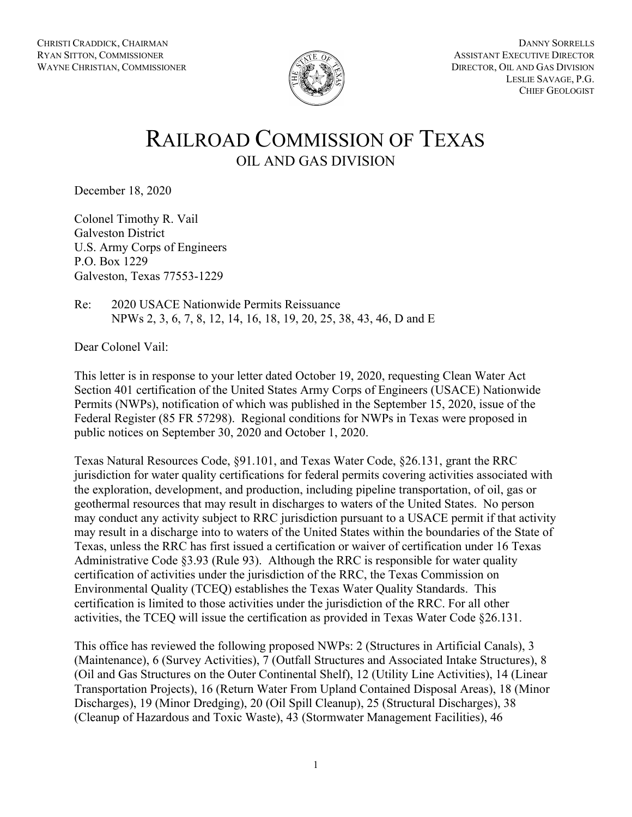

# RAILROAD COMMISSION OF TEXAS OIL AND GAS DIVISION

December 18, 2020

Colonel Timothy R. Vail Galveston District U.S. Army Corps of Engineers P.O. Box 1229 Galveston, Texas 77553-1229

Re: 2020 USACE Nationwide Permits Reissuance NPWs 2, 3, 6, 7, 8, 12, 14, 16, 18, 19, 20, 25, 38, 43, 46, D and E

Dear Colonel Vail:

This letter is in response to your letter dated October 19, 2020, requesting Clean Water Act Section 401 certification of the United States Army Corps of Engineers (USACE) Nationwide Permits (NWPs), notification of which was published in the September 15, 2020, issue of the Federal Register (85 FR 57298). Regional conditions for NWPs in Texas were proposed in public notices on September 30, 2020 and October 1, 2020.

Texas Natural Resources Code, §91.101, and Texas Water Code, §26.131, grant the RRC jurisdiction for water quality certifications for federal permits covering activities associated with the exploration, development, and production, including pipeline transportation, of oil, gas or geothermal resources that may result in discharges to waters of the United States. No person may conduct any activity subject to RRC jurisdiction pursuant to a USACE permit if that activity may result in a discharge into to waters of the United States within the boundaries of the State of Texas, unless the RRC has first issued a certification or waiver of certification under 16 Texas Administrative Code §3.93 (Rule 93). Although the RRC is responsible for water quality certification of activities under the jurisdiction of the RRC, the Texas Commission on Environmental Quality (TCEQ) establishes the Texas Water Quality Standards. This certification is limited to those activities under the jurisdiction of the RRC. For all other activities, the TCEQ will issue the certification as provided in Texas Water Code §26.131.

This office has reviewed the following proposed NWPs: 2 (Structures in Artificial Canals), 3 (Maintenance), 6 (Survey Activities), 7 (Outfall Structures and Associated Intake Structures), 8 (Oil and Gas Structures on the Outer Continental Shelf), 12 (Utility Line Activities), 14 (Linear Transportation Projects), 16 (Return Water From Upland Contained Disposal Areas), 18 (Minor Discharges), 19 (Minor Dredging), 20 (Oil Spill Cleanup), 25 (Structural Discharges), 38 (Cleanup of Hazardous and Toxic Waste), 43 (Stormwater Management Facilities), 46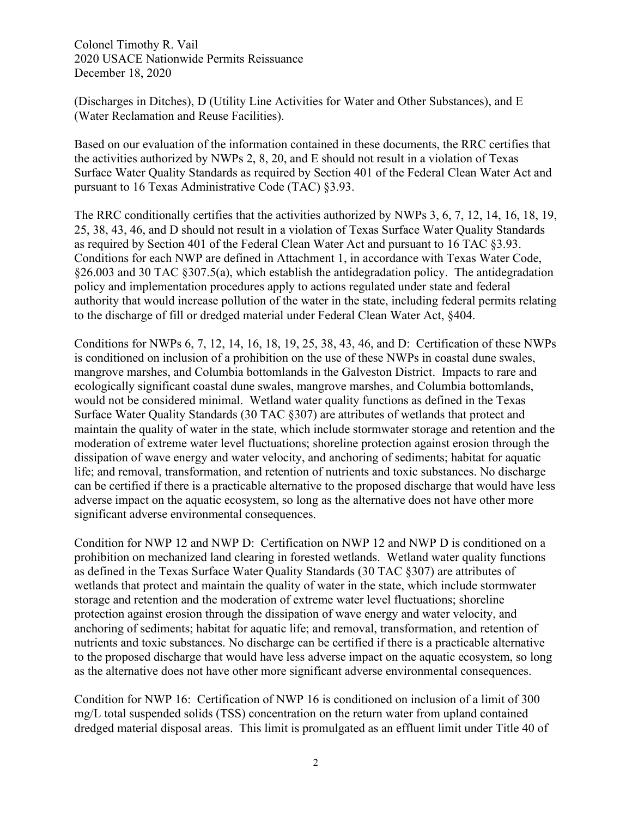(Discharges in Ditches), D (Utility Line Activities for Water and Other Substances), and E (Water Reclamation and Reuse Facilities).

Based on our evaluation of the information contained in these documents, the RRC certifies that the activities authorized by NWPs 2, 8, 20, and E should not result in a violation of Texas Surface Water Quality Standards as required by Section 401 of the Federal Clean Water Act and pursuant to 16 Texas Administrative Code (TAC) §3.93.

The RRC conditionally certifies that the activities authorized by NWPs 3, 6, 7, 12, 14, 16, 18, 19, 25, 38, 43, 46, and D should not result in a violation of Texas Surface Water Quality Standards as required by Section 401 of the Federal Clean Water Act and pursuant to 16 TAC §3.93. Conditions for each NWP are defined in Attachment 1, in accordance with Texas Water Code, §26.003 and 30 TAC §307.5(a), which establish the antidegradation policy. The antidegradation policy and implementation procedures apply to actions regulated under state and federal authority that would increase pollution of the water in the state, including federal permits relating to the discharge of fill or dredged material under Federal Clean Water Act, §404.

Conditions for NWPs 6, 7, 12, 14, 16, 18, 19, 25, 38, 43, 46, and D: Certification of these NWPs is conditioned on inclusion of a prohibition on the use of these NWPs in coastal dune swales, mangrove marshes, and Columbia bottomlands in the Galveston District. Impacts to rare and ecologically significant coastal dune swales, mangrove marshes, and Columbia bottomlands, would not be considered minimal. Wetland water quality functions as defined in the Texas Surface Water Quality Standards (30 TAC §307) are attributes of wetlands that protect and maintain the quality of water in the state, which include stormwater storage and retention and the moderation of extreme water level fluctuations; shoreline protection against erosion through the dissipation of wave energy and water velocity, and anchoring of sediments; habitat for aquatic life; and removal, transformation, and retention of nutrients and toxic substances. No discharge can be certified if there is a practicable alternative to the proposed discharge that would have less adverse impact on the aquatic ecosystem, so long as the alternative does not have other more significant adverse environmental consequences.

Condition for NWP 12 and NWP D: Certification on NWP 12 and NWP D is conditioned on a prohibition on mechanized land clearing in forested wetlands. Wetland water quality functions as defined in the Texas Surface Water Quality Standards (30 TAC §307) are attributes of wetlands that protect and maintain the quality of water in the state, which include stormwater storage and retention and the moderation of extreme water level fluctuations; shoreline protection against erosion through the dissipation of wave energy and water velocity, and anchoring of sediments; habitat for aquatic life; and removal, transformation, and retention of nutrients and toxic substances. No discharge can be certified if there is a practicable alternative to the proposed discharge that would have less adverse impact on the aquatic ecosystem, so long as the alternative does not have other more significant adverse environmental consequences.

Condition for NWP 16: Certification of NWP 16 is conditioned on inclusion of a limit of 300 mg/L total suspended solids (TSS) concentration on the return water from upland contained dredged material disposal areas. This limit is promulgated as an effluent limit under Title 40 of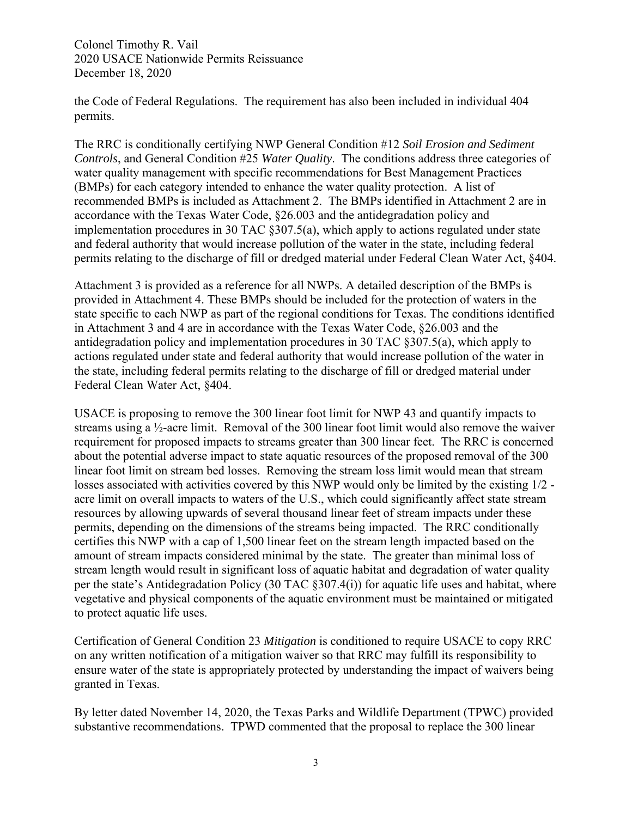the Code of Federal Regulations. The requirement has also been included in individual 404 permits.

The RRC is conditionally certifying NWP General Condition #12 *Soil Erosion and Sediment Controls*, and General Condition #25 *Water Quality*. The conditions address three categories of water quality management with specific recommendations for Best Management Practices (BMPs) for each category intended to enhance the water quality protection. A list of recommended BMPs is included as Attachment 2. The BMPs identified in Attachment 2 are in accordance with the Texas Water Code, §26.003 and the antidegradation policy and implementation procedures in 30 TAC §307.5(a), which apply to actions regulated under state and federal authority that would increase pollution of the water in the state, including federal permits relating to the discharge of fill or dredged material under Federal Clean Water Act, §404.

Attachment 3 is provided as a reference for all NWPs. A detailed description of the BMPs is provided in Attachment 4. These BMPs should be included for the protection of waters in the state specific to each NWP as part of the regional conditions for Texas. The conditions identified in Attachment 3 and 4 are in accordance with the Texas Water Code, §26.003 and the antidegradation policy and implementation procedures in 30 TAC §307.5(a), which apply to actions regulated under state and federal authority that would increase pollution of the water in the state, including federal permits relating to the discharge of fill or dredged material under Federal Clean Water Act, §404.

USACE is proposing to remove the 300 linear foot limit for NWP 43 and quantify impacts to streams using a ½-acre limit. Removal of the 300 linear foot limit would also remove the waiver requirement for proposed impacts to streams greater than 300 linear feet. The RRC is concerned about the potential adverse impact to state aquatic resources of the proposed removal of the 300 linear foot limit on stream bed losses. Removing the stream loss limit would mean that stream losses associated with activities covered by this NWP would only be limited by the existing 1/2 acre limit on overall impacts to waters of the U.S., which could significantly affect state stream resources by allowing upwards of several thousand linear feet of stream impacts under these permits, depending on the dimensions of the streams being impacted. The RRC conditionally certifies this NWP with a cap of 1,500 linear feet on the stream length impacted based on the amount of stream impacts considered minimal by the state. The greater than minimal loss of stream length would result in significant loss of aquatic habitat and degradation of water quality per the state's Antidegradation Policy (30 TAC §307.4(i)) for aquatic life uses and habitat, where vegetative and physical components of the aquatic environment must be maintained or mitigated to protect aquatic life uses.

Certification of General Condition 23 *Mitigation* is conditioned to require USACE to copy RRC on any written notification of a mitigation waiver so that RRC may fulfill its responsibility to ensure water of the state is appropriately protected by understanding the impact of waivers being granted in Texas.

By letter dated November 14, 2020, the Texas Parks and Wildlife Department (TPWC) provided substantive recommendations. TPWD commented that the proposal to replace the 300 linear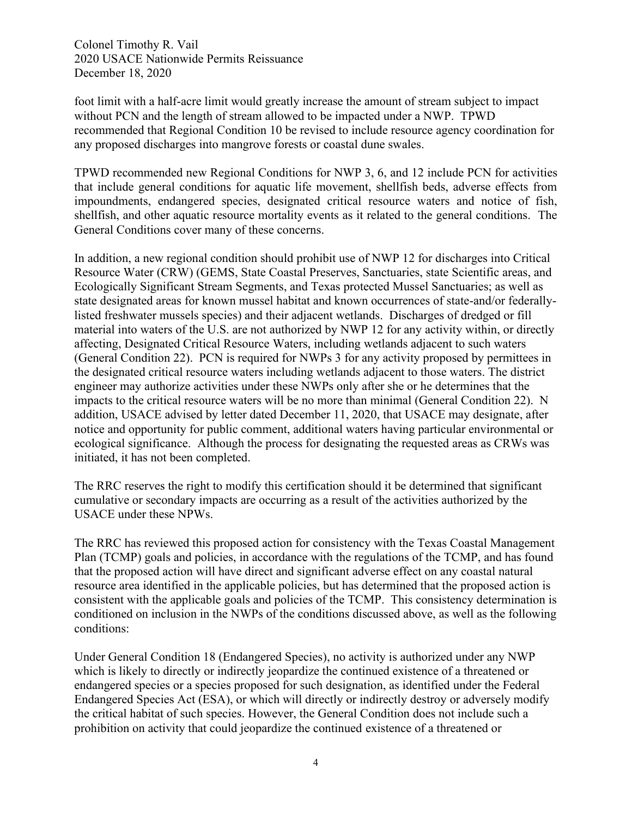foot limit with a half-acre limit would greatly increase the amount of stream subject to impact without PCN and the length of stream allowed to be impacted under a NWP. TPWD recommended that Regional Condition 10 be revised to include resource agency coordination for any proposed discharges into mangrove forests or coastal dune swales.

TPWD recommended new Regional Conditions for NWP 3, 6, and 12 include PCN for activities that include general conditions for aquatic life movement, shellfish beds, adverse effects from impoundments, endangered species, designated critical resource waters and notice of fish, shellfish, and other aquatic resource mortality events as it related to the general conditions. The General Conditions cover many of these concerns.

In addition, a new regional condition should prohibit use of NWP 12 for discharges into Critical Resource Water (CRW) (GEMS, State Coastal Preserves, Sanctuaries, state Scientific areas, and Ecologically Significant Stream Segments, and Texas protected Mussel Sanctuaries; as well as state designated areas for known mussel habitat and known occurrences of state-and/or federallylisted freshwater mussels species) and their adjacent wetlands. Discharges of dredged or fill material into waters of the U.S. are not authorized by NWP 12 for any activity within, or directly affecting, Designated Critical Resource Waters, including wetlands adjacent to such waters (General Condition 22). PCN is required for NWPs 3 for any activity proposed by permittees in the designated critical resource waters including wetlands adjacent to those waters. The district engineer may authorize activities under these NWPs only after she or he determines that the impacts to the critical resource waters will be no more than minimal (General Condition 22). N addition, USACE advised by letter dated December 11, 2020, that USACE may designate, after notice and opportunity for public comment, additional waters having particular environmental or ecological significance. Although the process for designating the requested areas as CRWs was initiated, it has not been completed.

The RRC reserves the right to modify this certification should it be determined that significant cumulative or secondary impacts are occurring as a result of the activities authorized by the USACE under these NPWs.

The RRC has reviewed this proposed action for consistency with the Texas Coastal Management Plan (TCMP) goals and policies, in accordance with the regulations of the TCMP, and has found that the proposed action will have direct and significant adverse effect on any coastal natural resource area identified in the applicable policies, but has determined that the proposed action is consistent with the applicable goals and policies of the TCMP. This consistency determination is conditioned on inclusion in the NWPs of the conditions discussed above, as well as the following conditions:

Under General Condition 18 (Endangered Species), no activity is authorized under any NWP which is likely to directly or indirectly jeopardize the continued existence of a threatened or endangered species or a species proposed for such designation, as identified under the Federal Endangered Species Act (ESA), or which will directly or indirectly destroy or adversely modify the critical habitat of such species. However, the General Condition does not include such a prohibition on activity that could jeopardize the continued existence of a threatened or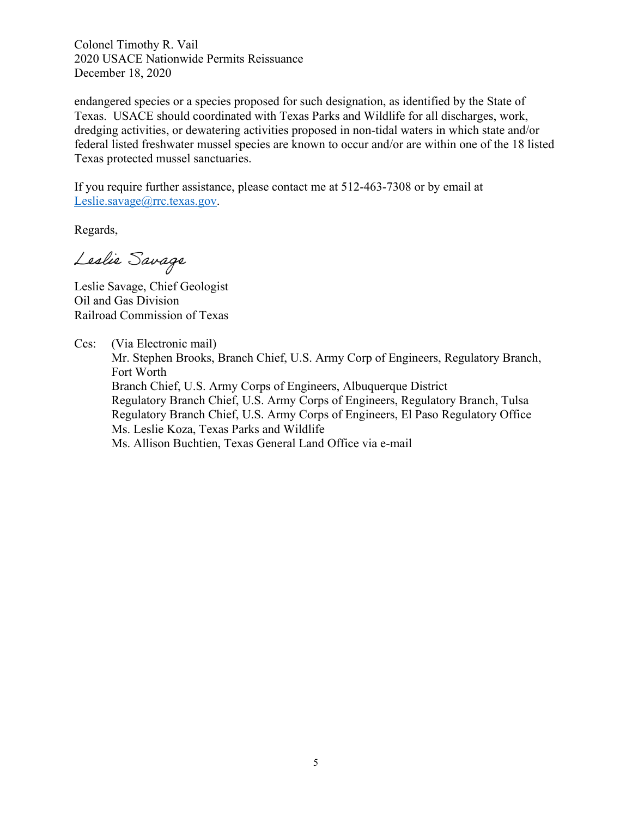endangered species or a species proposed for such designation, as identified by the State of Texas. USACE should coordinated with Texas Parks and Wildlife for all discharges, work, dredging activities, or dewatering activities proposed in non-tidal waters in which state and/or federal listed freshwater mussel species are known to occur and/or are within one of the 18 listed Texas protected mussel sanctuaries.

If you require further assistance, please contact me at 512-463-7308 or by email at [Leslie.savage@rrc.texas.gov.](mailto:Leslie.savage@rrc.texas.gov)

Regards,

Leslie Savage

Leslie Savage, Chief Geologist Oil and Gas Division Railroad Commission of Texas

Ccs: (Via Electronic mail)

Mr. Stephen Brooks, Branch Chief, U.S. Army Corp of Engineers, Regulatory Branch, Fort Worth Branch Chief, U.S. Army Corps of Engineers, Albuquerque District

Regulatory Branch Chief, U.S. Army Corps of Engineers, Regulatory Branch, Tulsa Regulatory Branch Chief, U.S. Army Corps of Engineers, El Paso Regulatory Office Ms. Leslie Koza, Texas Parks and Wildlife

Ms. Allison Buchtien, Texas General Land Office via e-mail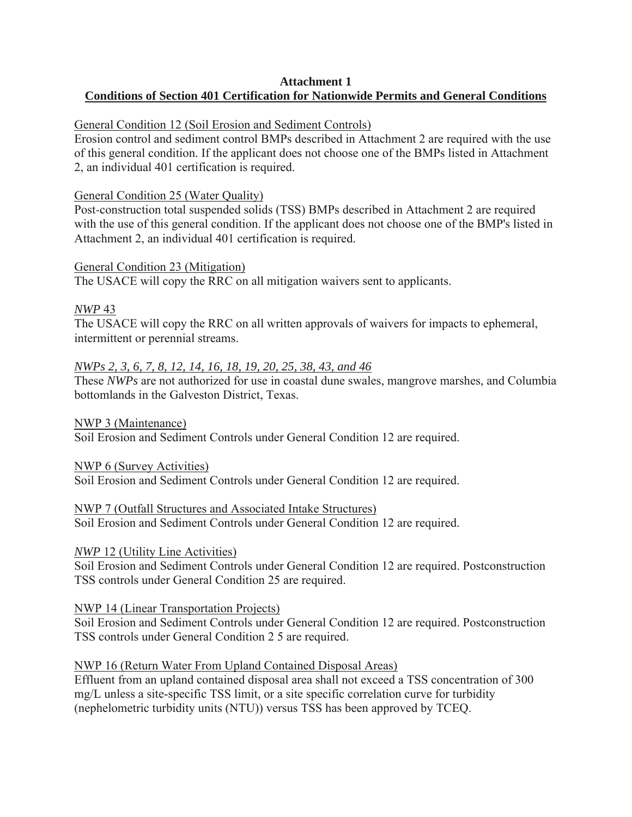# **Attachment 1 Conditions of Section 401 Certification for Nationwide Permits and General Conditions**

## General Condition 12 (Soil Erosion and Sediment Controls)

Erosion control and sediment control BMPs described in Attachment 2 are required with the use of this general condition. If the applicant does not choose one of the BMPs listed in Attachment 2, an individual 401 certification is required.

## General Condition 25 (Water Quality)

Post-construction total suspended solids (TSS) BMPs described in Attachment 2 are required with the use of this general condition. If the applicant does not choose one of the BMP's listed in Attachment 2, an individual 401 certification is required.

## General Condition 23 (Mitigation)

The USACE will copy the RRC on all mitigation waivers sent to applicants.

# *NWP* 43

The USACE will copy the RRC on all written approvals of waivers for impacts to ephemeral, intermittent or perennial streams.

# *NWPs 2, 3, 6, 7, 8, 12, 14, 16, 18, 19, 20, 25, 38, 43, and 46*

These *NWPs* are not authorized for use in coastal dune swales, mangrove marshes, and Columbia bottomlands in the Galveston District, Texas.

NWP 3 (Maintenance) Soil Erosion and Sediment Controls under General Condition 12 are required.

NWP 6 (Survey Activities) Soil Erosion and Sediment Controls under General Condition 12 are required.

# NWP 7 (Outfall Structures and Associated Intake Structures)

Soil Erosion and Sediment Controls under General Condition 12 are required.

# *NWP* 12 (Utility Line Activities)

Soil Erosion and Sediment Controls under General Condition 12 are required. Postconstruction TSS controls under General Condition 25 are required.

# NWP 14 (Linear Transportation Projects)

Soil Erosion and Sediment Controls under General Condition 12 are required. Postconstruction TSS controls under General Condition 2 5 are required.

# NWP 16 (Return Water From Upland Contained Disposal Areas)

Effluent from an upland contained disposal area shall not exceed a TSS concentration of 300 mg/L unless a site-specific TSS limit, or a site specific correlation curve for turbidity (nephelometric turbidity units (NTU)) versus TSS has been approved by TCEQ.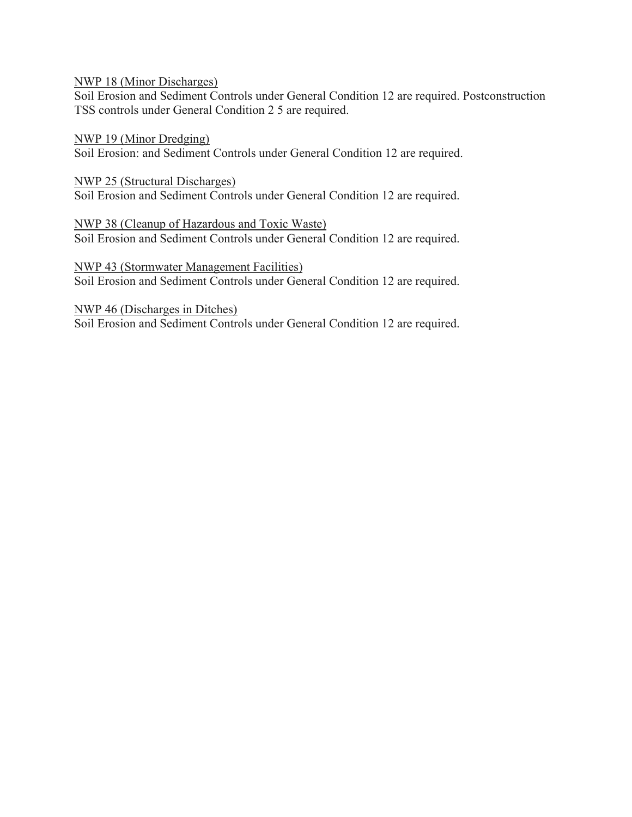NWP 18 (Minor Discharges)

Soil Erosion and Sediment Controls under General Condition 12 are required. Postconstruction TSS controls under General Condition 2 5 are required.

NWP 19 (Minor Dredging) Soil Erosion: and Sediment Controls under General Condition 12 are required.

NWP 25 (Structural Discharges) Soil Erosion and Sediment Controls under General Condition 12 are required.

NWP 38 (Cleanup of Hazardous and Toxic Waste) Soil Erosion and Sediment Controls under General Condition 12 are required.

NWP 43 (Stormwater Management Facilities) Soil Erosion and Sediment Controls under General Condition 12 are required.

NWP 46 (Discharges in Ditches) Soil Erosion and Sediment Controls under General Condition 12 are required.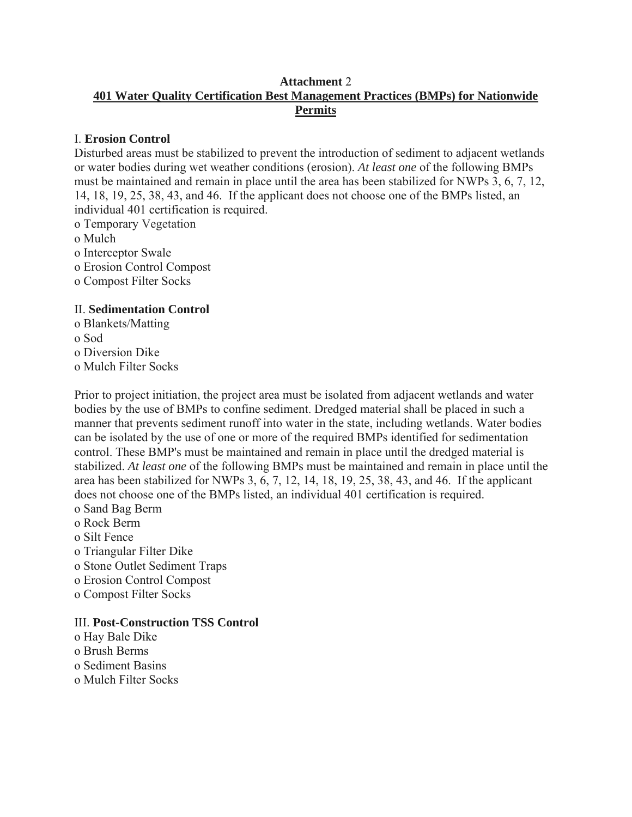## **Attachment** 2 **401 Water Quality Certification Best Management Practices (BMPs) for Nationwide Permits**

## I. **Erosion Control**

Disturbed areas must be stabilized to prevent the introduction of sediment to adjacent wetlands or water bodies during wet weather conditions (erosion). *At least one* of the following BMPs must be maintained and remain in place until the area has been stabilized for NWPs 3, 6, 7, 12, 14, 18, 19, 25, 38, 43, and 46. If the applicant does not choose one of the BMPs listed, an individual 401 certification is required.

o Temporary Vegetation

o Mulch

- o Interceptor Swale
- o Erosion Control Compost
- o Compost Filter Socks

## II. **Sedimentation Control**

o Blankets/Matting o Sod o Diversion Dike o Mulch Filter Socks

Prior to project initiation, the project area must be isolated from adjacent wetlands and water bodies by the use of BMPs to confine sediment. Dredged material shall be placed in such a manner that prevents sediment runoff into water in the state, including wetlands. Water bodies can be isolated by the use of one or more of the required BMPs identified for sedimentation control. These BMP's must be maintained and remain in place until the dredged material is stabilized. *At least one* of the following BMPs must be maintained and remain in place until the area has been stabilized for NWPs 3, 6, 7, 12, 14, 18, 19, 25, 38, 43, and 46. If the applicant does not choose one of the BMPs listed, an individual 401 certification is required.

- o Sand Bag Berm
- o Rock Berm
- o Silt Fence
- o Triangular Filter Dike
- o Stone Outlet Sediment Traps
- o Erosion Control Compost
- o Compost Filter Socks

# III. **Post-Construction TSS Control**

- o Hay Bale Dike
- o Brush Berms
- o Sediment Basins
- o Mulch Filter Socks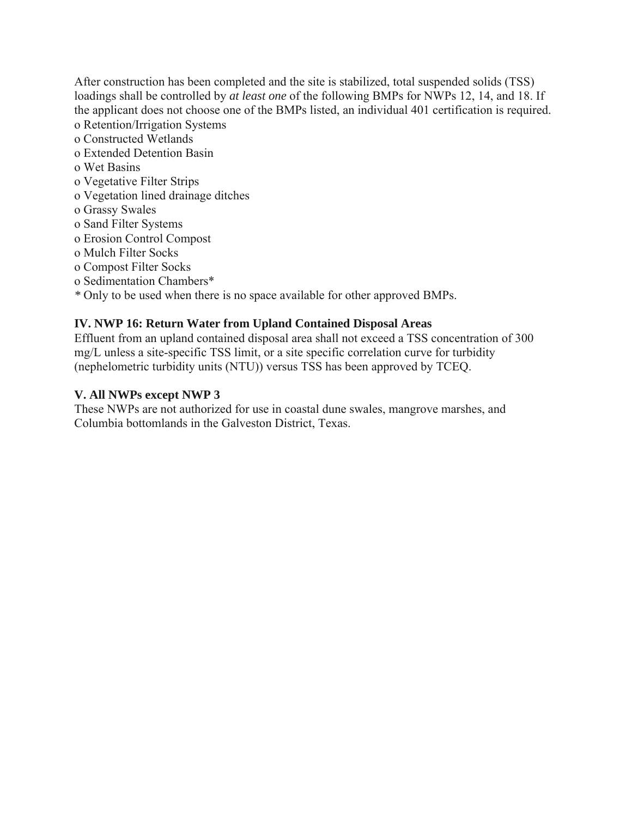After construction has been completed and the site is stabilized, total suspended solids (TSS) loadings shall be controlled by *at least one* of the following BMPs for NWPs 12, 14, and 18. If the applicant does not choose one of the BMPs listed, an individual 401 certification is required.

- o Retention/Irrigation Systems
- o Constructed Wetlands
- o Extended Detention Basin
- o Wet Basins
- o Vegetative Filter Strips
- o Vegetation lined drainage ditches
- o Grassy Swales
- o Sand Filter Systems
- o Erosion Control Compost
- o Mulch Filter Socks
- o Compost Filter Socks
- o Sedimentation Chambers\*
- *\** Only to be used when there is no space available for other approved BMPs.

## **IV. NWP 16: Return Water from Upland Contained Disposal Areas**

Effluent from an upland contained disposal area shall not exceed a TSS concentration of 300 mg/L unless a site-specific TSS limit, or a site specific correlation curve for turbidity (nephelometric turbidity units (NTU)) versus TSS has been approved by TCEQ.

## **V. All NWPs except NWP 3**

These NWPs are not authorized for use in coastal dune swales, mangrove marshes, and Columbia bottomlands in the Galveston District, Texas.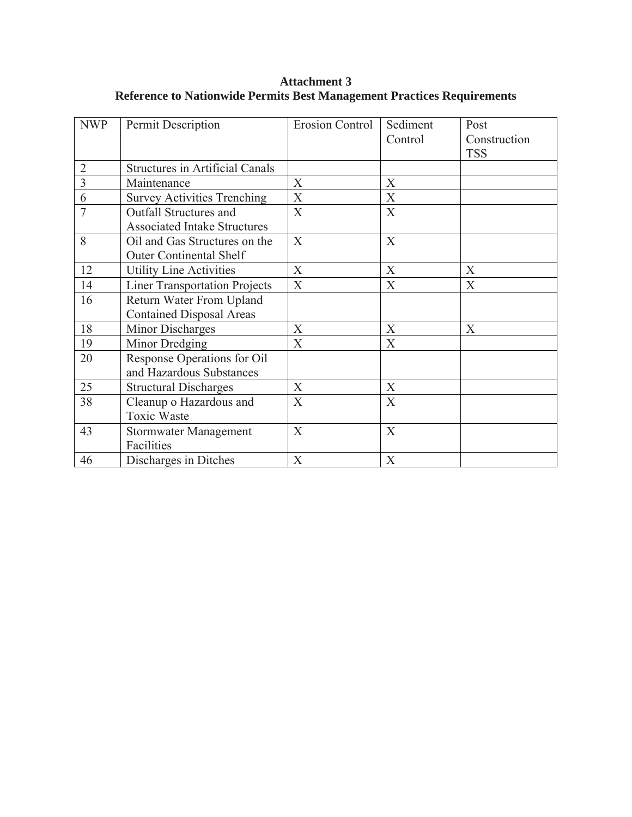| <b>NWP</b>     | Permit Description                     | <b>Erosion Control</b>    | Sediment                  | Post         |
|----------------|----------------------------------------|---------------------------|---------------------------|--------------|
|                |                                        |                           | Control                   | Construction |
|                |                                        |                           |                           | <b>TSS</b>   |
| $\overline{2}$ | <b>Structures in Artificial Canals</b> |                           |                           |              |
| $\overline{3}$ | Maintenance                            | X                         | X                         |              |
| 6              | <b>Survey Activities Trenching</b>     | X                         | $\boldsymbol{\mathrm{X}}$ |              |
| $\overline{7}$ | <b>Outfall Structures and</b>          | X                         | X                         |              |
|                | <b>Associated Intake Structures</b>    |                           |                           |              |
| 8              | Oil and Gas Structures on the          | X                         | X                         |              |
|                | <b>Outer Continental Shelf</b>         |                           |                           |              |
| 12             | <b>Utility Line Activities</b>         | $\boldsymbol{\mathrm{X}}$ | X                         | X            |
| 14             | <b>Liner Transportation Projects</b>   | X                         | $\boldsymbol{\mathrm{X}}$ | X            |
| 16             | Return Water From Upland               |                           |                           |              |
|                | <b>Contained Disposal Areas</b>        |                           |                           |              |
| 18             | Minor Discharges                       | X                         | X                         | X            |
| 19             | Minor Dredging                         | X                         | X                         |              |
| 20             | Response Operations for Oil            |                           |                           |              |
|                | and Hazardous Substances               |                           |                           |              |
| 25             | <b>Structural Discharges</b>           | X                         | X                         |              |
| 38             | Cleanup o Hazardous and                | X                         | X                         |              |
|                | <b>Toxic Waste</b>                     |                           |                           |              |
| 43             | <b>Stormwater Management</b>           | X                         | X                         |              |
|                | Facilities                             |                           |                           |              |
| 46             | Discharges in Ditches                  | $\boldsymbol{X}$          | X                         |              |

**Attachment 3 Reference to Nationwide Permits Best Management Practices Requirements**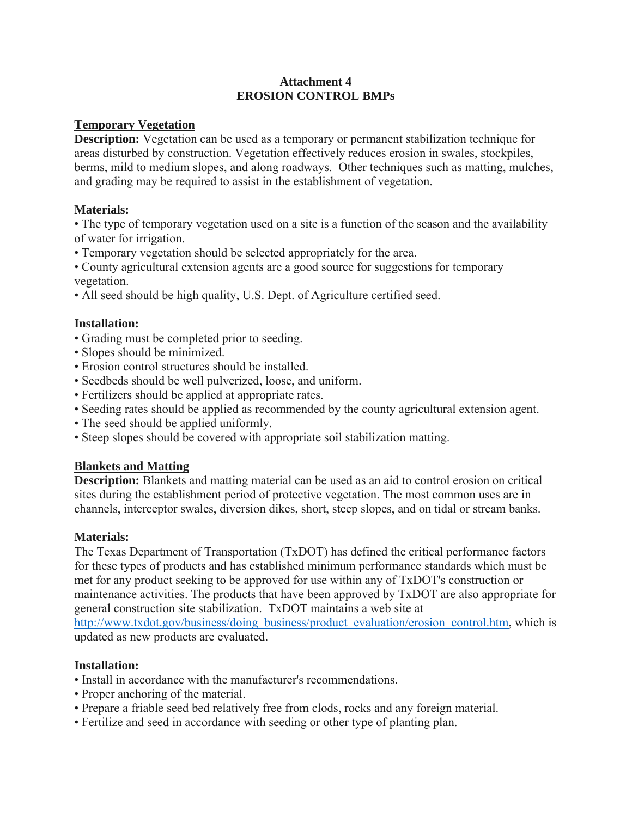## **Attachment 4 EROSION CONTROL BMPs**

## **Temporary Vegetation**

**Description:** Vegetation can be used as a temporary or permanent stabilization technique for areas disturbed by construction. Vegetation effectively reduces erosion in swales, stockpiles, berms, mild to medium slopes, and along roadways. Other techniques such as matting, mulches, and grading may be required to assist in the establishment of vegetation.

## **Materials:**

• The type of temporary vegetation used on a site is a function of the season and the availability of water for irrigation.

• Temporary vegetation should be selected appropriately for the area.

• County agricultural extension agents are a good source for suggestions for temporary vegetation.

• All seed should be high quality, U.S. Dept. of Agriculture certified seed.

## **Installation:**

- Grading must be completed prior to seeding.
- Slopes should be minimized.
- Erosion control structures should be installed.
- Seedbeds should be well pulverized, loose, and uniform.
- Fertilizers should be applied at appropriate rates.
- Seeding rates should be applied as recommended by the county agricultural extension agent.
- The seed should be applied uniformly.
- Steep slopes should be covered with appropriate soil stabilization matting.

#### **Blankets and Matting**

**Description:** Blankets and matting material can be used as an aid to control erosion on critical sites during the establishment period of protective vegetation. The most common uses are in channels, interceptor swales, diversion dikes, short, steep slopes, and on tidal or stream banks.

#### **Materials:**

The Texas Department of Transportation (TxDOT) has defined the critical performance factors for these types of products and has established minimum performance standards which must be met for any product seeking to be approved for use within any of TxDOT's construction or maintenance activities. The products that have been approved by TxDOT are also appropriate for general construction site stabilization. TxDOT maintains a web site at http://www.txdot.gov/business/doing\_business/product\_evaluation/erosion\_control.htm, which is updated as new products are evaluated.

#### **Installation:**

- Install in accordance with the manufacturer's recommendations.
- Proper anchoring of the material.
- Prepare a friable seed bed relatively free from clods, rocks and any foreign material.
- Fertilize and seed in accordance with seeding or other type of planting plan.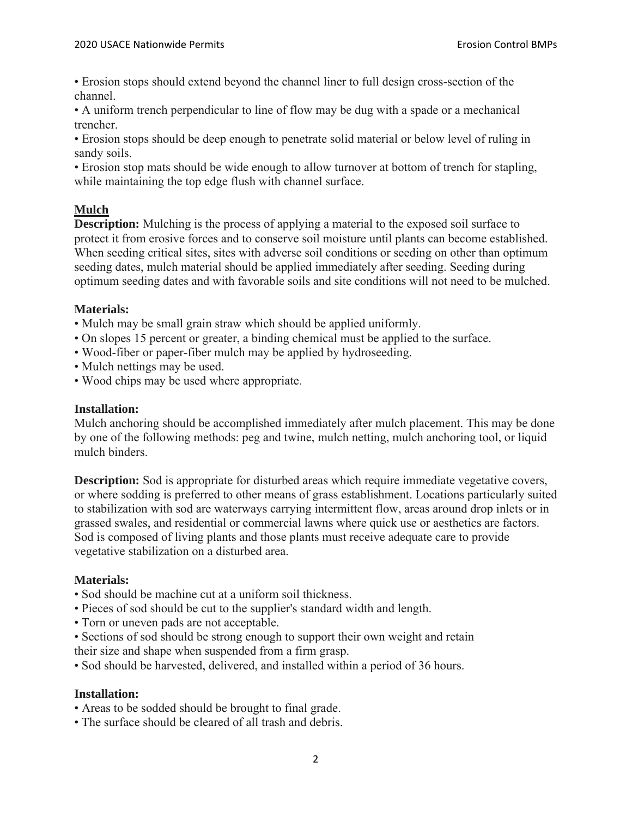• Erosion stops should extend beyond the channel liner to full design cross-section of the channel.

• A uniform trench perpendicular to line of flow may be dug with a spade or a mechanical trencher.

• Erosion stops should be deep enough to penetrate solid material or below level of ruling in sandy soils.

• Erosion stop mats should be wide enough to allow turnover at bottom of trench for stapling, while maintaining the top edge flush with channel surface.

# **Mulch**

**Description:** Mulching is the process of applying a material to the exposed soil surface to protect it from erosive forces and to conserve soil moisture until plants can become established. When seeding critical sites, sites with adverse soil conditions or seeding on other than optimum seeding dates, mulch material should be applied immediately after seeding. Seeding during optimum seeding dates and with favorable soils and site conditions will not need to be mulched.

# **Materials:**

- Mulch may be small grain straw which should be applied uniformly.
- On slopes 15 percent or greater, a binding chemical must be applied to the surface.
- Wood-fiber or paper-fiber mulch may be applied by hydroseeding.
- Mulch nettings may be used.
- Wood chips may be used where appropriate.

## **Installation:**

Mulch anchoring should be accomplished immediately after mulch placement. This may be done by one of the following methods: peg and twine, mulch netting, mulch anchoring tool, or liquid mulch binders.

**Description:** Sod is appropriate for disturbed areas which require immediate vegetative covers, or where sodding is preferred to other means of grass establishment. Locations particularly suited to stabilization with sod are waterways carrying intermittent flow, areas around drop inlets or in grassed swales, and residential or commercial lawns where quick use or aesthetics are factors. Sod is composed of living plants and those plants must receive adequate care to provide vegetative stabilization on a disturbed area.

#### **Materials:**

- Sod should be machine cut at a uniform soil thickness.
- Pieces of sod should be cut to the supplier's standard width and length.
- Torn or uneven pads are not acceptable.
- Sections of sod should be strong enough to support their own weight and retain their size and shape when suspended from a firm grasp.

• Sod should be harvested, delivered, and installed within a period of 36 hours.

#### **Installation:**

- Areas to be sodded should be brought to final grade.
- The surface should be cleared of all trash and debris.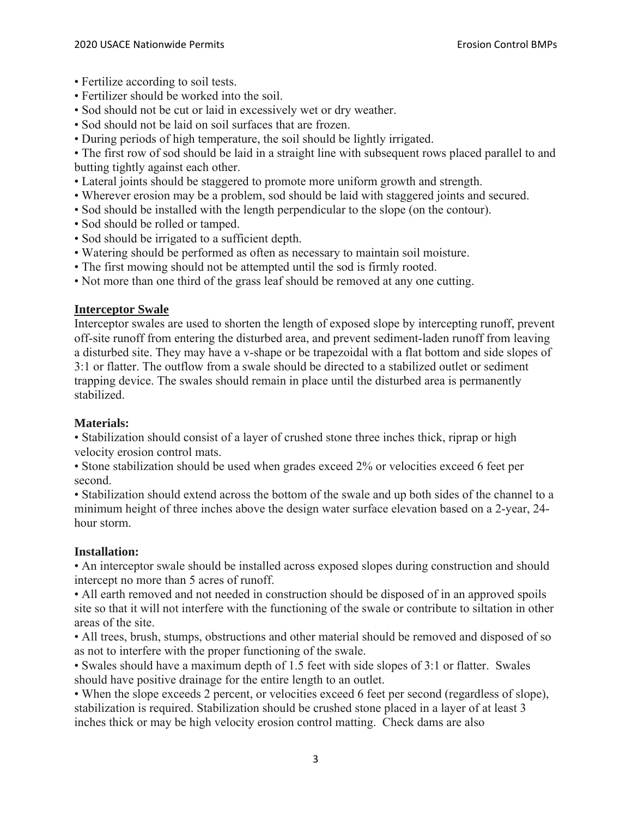- Fertilize according to soil tests.
- Fertilizer should be worked into the soil.
- Sod should not be cut or laid in excessively wet or dry weather.
- Sod should not be laid on soil surfaces that are frozen.
- During periods of high temperature, the soil should be lightly irrigated.

• The first row of sod should be laid in a straight line with subsequent rows placed parallel to and butting tightly against each other.

- Lateral joints should be staggered to promote more uniform growth and strength.
- Wherever erosion may be a problem, sod should be laid with staggered joints and secured.
- Sod should be installed with the length perpendicular to the slope (on the contour).
- Sod should be rolled or tamped.
- Sod should be irrigated to a sufficient depth.
- Watering should be performed as often as necessary to maintain soil moisture.
- The first mowing should not be attempted until the sod is firmly rooted.
- Not more than one third of the grass leaf should be removed at any one cutting.

## **Interceptor Swale**

Interceptor swales are used to shorten the length of exposed slope by intercepting runoff, prevent off-site runoff from entering the disturbed area, and prevent sediment-laden runoff from leaving a disturbed site. They may have a v-shape or be trapezoidal with a flat bottom and side slopes of 3:1 or flatter. The outflow from a swale should be directed to a stabilized outlet or sediment trapping device. The swales should remain in place until the disturbed area is permanently stabilized.

#### **Materials:**

• Stabilization should consist of a layer of crushed stone three inches thick, riprap or high velocity erosion control mats.

• Stone stabilization should be used when grades exceed 2% or velocities exceed 6 feet per second.

• Stabilization should extend across the bottom of the swale and up both sides of the channel to a minimum height of three inches above the design water surface elevation based on a 2-year, 24 hour storm.

#### **Installation:**

• An interceptor swale should be installed across exposed slopes during construction and should intercept no more than 5 acres of runoff.

• All earth removed and not needed in construction should be disposed of in an approved spoils site so that it will not interfere with the functioning of the swale or contribute to siltation in other areas of the site.

• All trees, brush, stumps, obstructions and other material should be removed and disposed of so as not to interfere with the proper functioning of the swale.

• Swales should have a maximum depth of 1.5 feet with side slopes of 3:1 or flatter. Swales should have positive drainage for the entire length to an outlet.

• When the slope exceeds 2 percent, or velocities exceed 6 feet per second (regardless of slope), stabilization is required. Stabilization should be crushed stone placed in a layer of at least 3 inches thick or may be high velocity erosion control matting. Check dams are also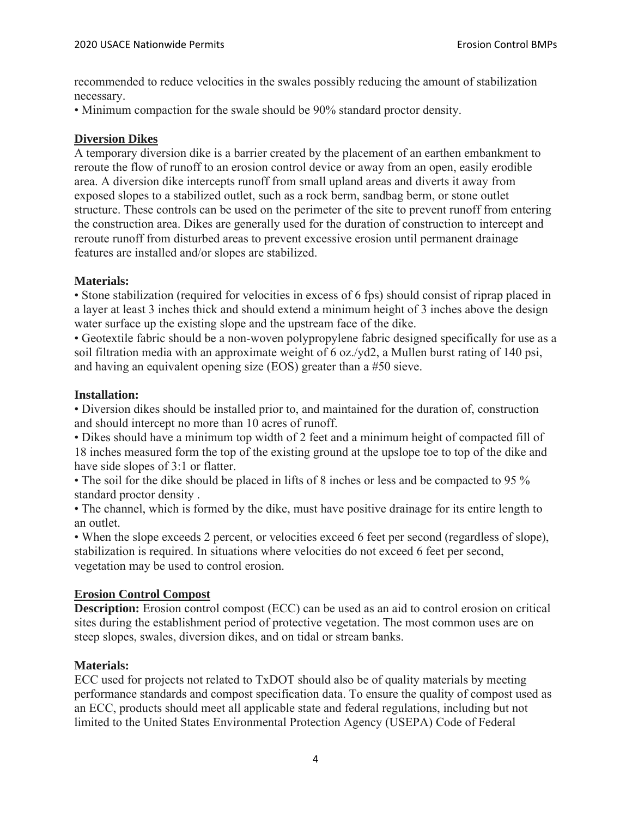recommended to reduce velocities in the swales possibly reducing the amount of stabilization necessary.

• Minimum compaction for the swale should be 90% standard proctor density.

## **Diversion Dikes**

A temporary diversion dike is a barrier created by the placement of an earthen embankment to reroute the flow of runoff to an erosion control device or away from an open, easily erodible area. A diversion dike intercepts runoff from small upland areas and diverts it away from exposed slopes to a stabilized outlet, such as a rock berm, sandbag berm, or stone outlet structure. These controls can be used on the perimeter of the site to prevent runoff from entering the construction area. Dikes are generally used for the duration of construction to intercept and reroute runoff from disturbed areas to prevent excessive erosion until permanent drainage features are installed and/or slopes are stabilized.

## **Materials:**

• Stone stabilization (required for velocities in excess of 6 fps) should consist of riprap placed in a layer at least 3 inches thick and should extend a minimum height of 3 inches above the design water surface up the existing slope and the upstream face of the dike.

• Geotextile fabric should be a non-woven polypropylene fabric designed specifically for use as a soil filtration media with an approximate weight of 6 oz./yd2, a Mullen burst rating of 140 psi, and having an equivalent opening size (EOS) greater than a #50 sieve.

## **Installation:**

• Diversion dikes should be installed prior to, and maintained for the duration of, construction and should intercept no more than 10 acres of runoff.

• Dikes should have a minimum top width of 2 feet and a minimum height of compacted fill of 18 inches measured form the top of the existing ground at the upslope toe to top of the dike and have side slopes of 3:1 or flatter.

• The soil for the dike should be placed in lifts of 8 inches or less and be compacted to 95 % standard proctor density .

• The channel, which is formed by the dike, must have positive drainage for its entire length to an outlet.

• When the slope exceeds 2 percent, or velocities exceed 6 feet per second (regardless of slope), stabilization is required. In situations where velocities do not exceed 6 feet per second, vegetation may be used to control erosion.

# **Erosion Control Compost**

**Description:** Erosion control compost (ECC) can be used as an aid to control erosion on critical sites during the establishment period of protective vegetation. The most common uses are on steep slopes, swales, diversion dikes, and on tidal or stream banks.

# **Materials:**

ECC used for projects not related to TxDOT should also be of quality materials by meeting performance standards and compost specification data. To ensure the quality of compost used as an ECC, products should meet all applicable state and federal regulations, including but not limited to the United States Environmental Protection Agency (USEPA) Code of Federal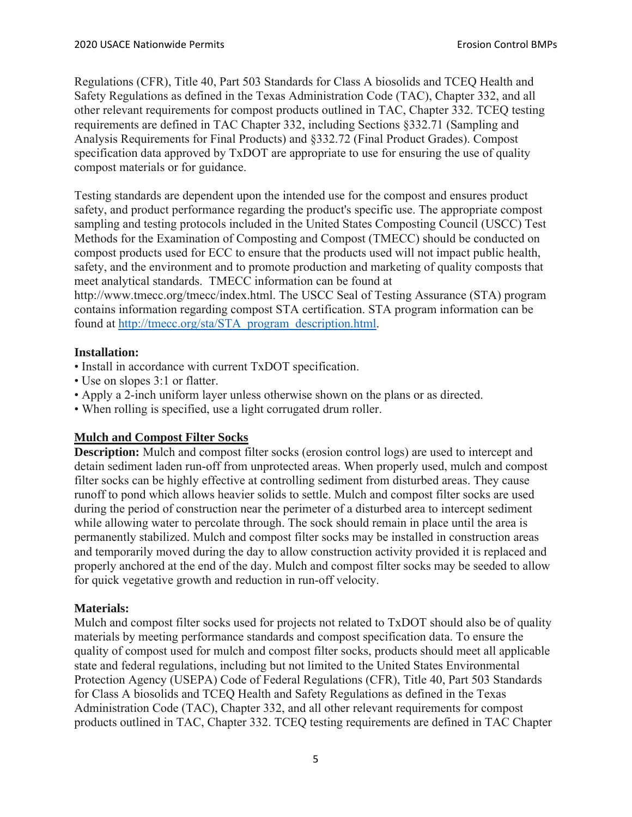Regulations (CFR), Title 40, Part 503 Standards for Class A biosolids and TCEQ Health and Safety Regulations as defined in the Texas Administration Code (TAC), Chapter 332, and all other relevant requirements for compost products outlined in TAC, Chapter 332. TCEQ testing requirements are defined in TAC Chapter 332, including Sections §332.71 (Sampling and Analysis Requirements for Final Products) and §332.72 (Final Product Grades). Compost specification data approved by TxDOT are appropriate to use for ensuring the use of quality compost materials or for guidance.

Testing standards are dependent upon the intended use for the compost and ensures product safety, and product performance regarding the product's specific use. The appropriate compost sampling and testing protocols included in the United States Composting Council (USCC) Test Methods for the Examination of Composting and Compost (TMECC) should be conducted on compost products used for ECC to ensure that the products used will not impact public health, safety, and the environment and to promote production and marketing of quality composts that meet analytical standards. TMECC information can be found at http://www.tmecc.org/tmecc/index.html. The USCC Seal of Testing Assurance (STA) program contains information regarding compost STA certification. STA program information can be

found at http://tmecc.org/sta/STA\_program\_description.html.

## **Installation:**

- Install in accordance with current TxDOT specification.
- Use on slopes 3:1 or flatter.
- Apply a 2-inch uniform layer unless otherwise shown on the plans or as directed.
- When rolling is specified, use a light corrugated drum roller.

# **Mulch and Compost Filter Socks**

**Description:** Mulch and compost filter socks (erosion control logs) are used to intercept and detain sediment laden run-off from unprotected areas. When properly used, mulch and compost filter socks can be highly effective at controlling sediment from disturbed areas. They cause runoff to pond which allows heavier solids to settle. Mulch and compost filter socks are used during the period of construction near the perimeter of a disturbed area to intercept sediment while allowing water to percolate through. The sock should remain in place until the area is permanently stabilized. Mulch and compost filter socks may be installed in construction areas and temporarily moved during the day to allow construction activity provided it is replaced and properly anchored at the end of the day. Mulch and compost filter socks may be seeded to allow for quick vegetative growth and reduction in run-off velocity.

#### **Materials:**

Mulch and compost filter socks used for projects not related to TxDOT should also be of quality materials by meeting performance standards and compost specification data. To ensure the quality of compost used for mulch and compost filter socks, products should meet all applicable state and federal regulations, including but not limited to the United States Environmental Protection Agency (USEPA) Code of Federal Regulations (CFR), Title 40, Part 503 Standards for Class A biosolids and TCEQ Health and Safety Regulations as defined in the Texas Administration Code (TAC), Chapter 332, and all other relevant requirements for compost products outlined in TAC, Chapter 332. TCEQ testing requirements are defined in TAC Chapter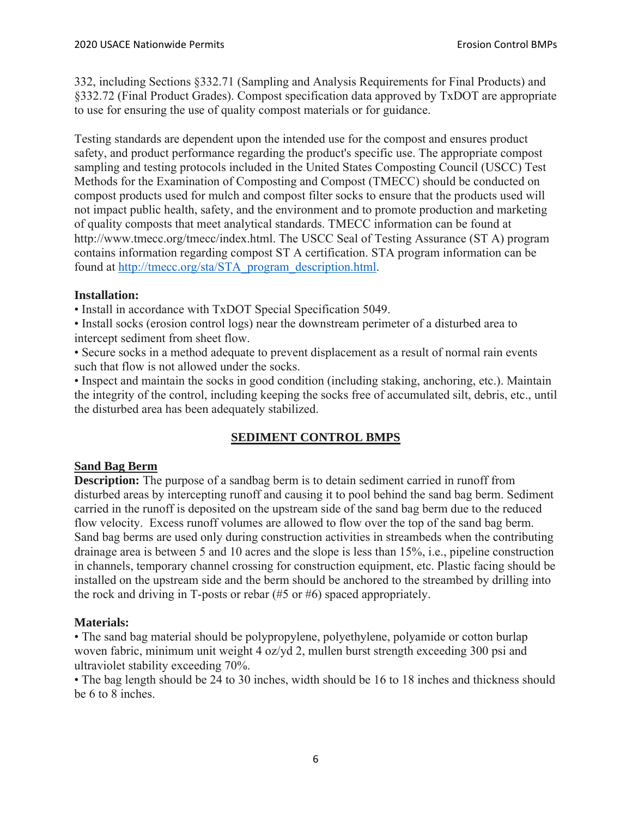332, including Sections §332.71 (Sampling and Analysis Requirements for Final Products) and §332.72 (Final Product Grades). Compost specification data approved by TxDOT are appropriate to use for ensuring the use of quality compost materials or for guidance.

Testing standards are dependent upon the intended use for the compost and ensures product safety, and product performance regarding the product's specific use. The appropriate compost sampling and testing protocols included in the United States Composting Council (USCC) Test Methods for the Examination of Composting and Compost (TMECC) should be conducted on compost products used for mulch and compost filter socks to ensure that the products used will not impact public health, safety, and the environment and to promote production and marketing of quality composts that meet analytical standards. TMECC information can be found at http://www.tmecc.org/tmecc/index.html. The USCC Seal of Testing Assurance (ST A) program contains information regarding compost ST A certification. STA program information can be found at http://tmecc.org/sta/STA\_program\_description.html.

# **Installation:**

• Install in accordance with TxDOT Special Specification 5049.

• Install socks (erosion control logs) near the downstream perimeter of a disturbed area to intercept sediment from sheet flow.

• Secure socks in a method adequate to prevent displacement as a result of normal rain events such that flow is not allowed under the socks.

• Inspect and maintain the socks in good condition (including staking, anchoring, etc.). Maintain the integrity of the control, including keeping the socks free of accumulated silt, debris, etc., until the disturbed area has been adequately stabilized.

# **SEDIMENT CONTROL BMPS**

# **Sand Bag Berm**

**Description:** The purpose of a sandbag berm is to detain sediment carried in runoff from disturbed areas by intercepting runoff and causing it to pool behind the sand bag berm. Sediment carried in the runoff is deposited on the upstream side of the sand bag berm due to the reduced flow velocity. Excess runoff volumes are allowed to flow over the top of the sand bag berm. Sand bag berms are used only during construction activities in streambeds when the contributing drainage area is between 5 and 10 acres and the slope is less than 15%, i.e., pipeline construction in channels, temporary channel crossing for construction equipment, etc. Plastic facing should be installed on the upstream side and the berm should be anchored to the streambed by drilling into the rock and driving in T-posts or rebar (#5 or #6) spaced appropriately.

# **Materials:**

• The sand bag material should be polypropylene, polyethylene, polyamide or cotton burlap woven fabric, minimum unit weight 4 oz/yd 2, mullen burst strength exceeding 300 psi and ultraviolet stability exceeding 70%.

• The bag length should be 24 to 30 inches, width should be 16 to 18 inches and thickness should be 6 to 8 inches.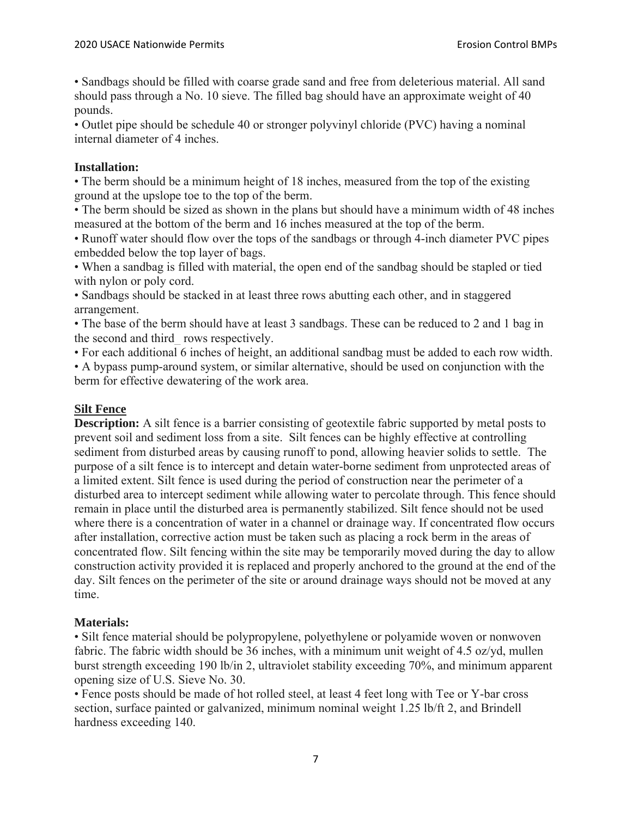• Sandbags should be filled with coarse grade sand and free from deleterious material. All sand should pass through a No. 10 sieve. The filled bag should have an approximate weight of 40 pounds.

• Outlet pipe should be schedule 40 or stronger polyvinyl chloride (PVC) having a nominal internal diameter of 4 inches.

## **Installation:**

• The berm should be a minimum height of 18 inches, measured from the top of the existing ground at the upslope toe to the top of the berm.

• The berm should be sized as shown in the plans but should have a minimum width of 48 inches measured at the bottom of the berm and 16 inches measured at the top of the berm.

• Runoff water should flow over the tops of the sandbags or through 4-inch diameter PVC pipes embedded below the top layer of bags.

• When a sandbag is filled with material, the open end of the sandbag should be stapled or tied with nylon or poly cord.

• Sandbags should be stacked in at least three rows abutting each other, and in staggered arrangement.

• The base of the berm should have at least 3 sandbags. These can be reduced to 2 and 1 bag in the second and third\_ rows respectively.

• For each additional 6 inches of height, an additional sandbag must be added to each row width.

• A bypass pump-around system, or similar alternative, should be used on conjunction with the berm for effective dewatering of the work area.

# **Silt Fence**

**Description:** A silt fence is a barrier consisting of geotextile fabric supported by metal posts to prevent soil and sediment loss from a site. Silt fences can be highly effective at controlling sediment from disturbed areas by causing runoff to pond, allowing heavier solids to settle. The purpose of a silt fence is to intercept and detain water-borne sediment from unprotected areas of a limited extent. Silt fence is used during the period of construction near the perimeter of a disturbed area to intercept sediment while allowing water to percolate through. This fence should remain in place until the disturbed area is permanently stabilized. Silt fence should not be used where there is a concentration of water in a channel or drainage way. If concentrated flow occurs after installation, corrective action must be taken such as placing a rock berm in the areas of concentrated flow. Silt fencing within the site may be temporarily moved during the day to allow construction activity provided it is replaced and properly anchored to the ground at the end of the day. Silt fences on the perimeter of the site or around drainage ways should not be moved at any time.

# **Materials:**

• Silt fence material should be polypropylene, polyethylene or polyamide woven or nonwoven fabric. The fabric width should be 36 inches, with a minimum unit weight of 4.5 oz/yd, mullen burst strength exceeding 190 lb/in 2, ultraviolet stability exceeding 70%, and minimum apparent opening size of U.S. Sieve No. 30.

• Fence posts should be made of hot rolled steel, at least 4 feet long with Tee or Y-bar cross section, surface painted or galvanized, minimum nominal weight 1.25 lb/ft 2, and Brindell hardness exceeding 140.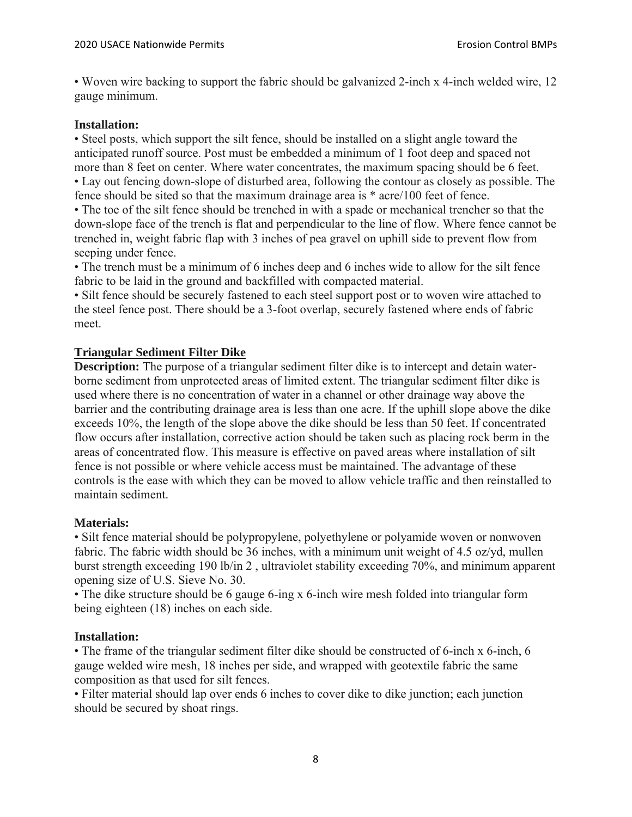• Woven wire backing to support the fabric should be galvanized 2-inch x 4-inch welded wire, 12 gauge minimum.

## **Installation:**

• Steel posts, which support the silt fence, should be installed on a slight angle toward the anticipated runoff source. Post must be embedded a minimum of 1 foot deep and spaced not more than 8 feet on center. Where water concentrates, the maximum spacing should be 6 feet. • Lay out fencing down-slope of disturbed area, following the contour as closely as possible. The fence should be sited so that the maximum drainage area is \* acre/100 feet of fence.

• The toe of the silt fence should be trenched in with a spade or mechanical trencher so that the down-slope face of the trench is flat and perpendicular to the line of flow. Where fence cannot be trenched in, weight fabric flap with 3 inches of pea gravel on uphill side to prevent flow from seeping under fence.

• The trench must be a minimum of 6 inches deep and 6 inches wide to allow for the silt fence fabric to be laid in the ground and backfilled with compacted material.

• Silt fence should be securely fastened to each steel support post or to woven wire attached to the steel fence post. There should be a 3-foot overlap, securely fastened where ends of fabric meet.

## **Triangular Sediment Filter Dike**

**Description:** The purpose of a triangular sediment filter dike is to intercept and detain waterborne sediment from unprotected areas of limited extent. The triangular sediment filter dike is used where there is no concentration of water in a channel or other drainage way above the barrier and the contributing drainage area is less than one acre. If the uphill slope above the dike exceeds 10%, the length of the slope above the dike should be less than 50 feet. If concentrated flow occurs after installation, corrective action should be taken such as placing rock berm in the areas of concentrated flow. This measure is effective on paved areas where installation of silt fence is not possible or where vehicle access must be maintained. The advantage of these controls is the ease with which they can be moved to allow vehicle traffic and then reinstalled to maintain sediment.

#### **Materials:**

• Silt fence material should be polypropylene, polyethylene or polyamide woven or nonwoven fabric. The fabric width should be 36 inches, with a minimum unit weight of 4.5 oz/yd, mullen burst strength exceeding 190 lb/in 2 , ultraviolet stability exceeding 70%, and minimum apparent opening size of U.S. Sieve No. 30.

• The dike structure should be 6 gauge 6-ing x 6-inch wire mesh folded into triangular form being eighteen (18) inches on each side.

#### **Installation:**

• The frame of the triangular sediment filter dike should be constructed of 6-inch x 6-inch, 6 gauge welded wire mesh, 18 inches per side, and wrapped with geotextile fabric the same composition as that used for silt fences.

• Filter material should lap over ends 6 inches to cover dike to dike junction; each junction should be secured by shoat rings.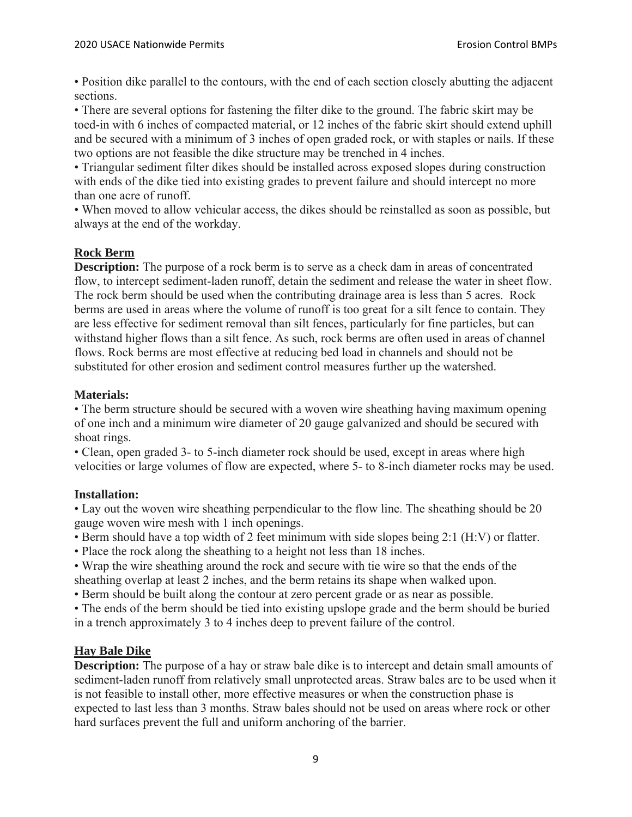• Position dike parallel to the contours, with the end of each section closely abutting the adjacent sections.

• There are several options for fastening the filter dike to the ground. The fabric skirt may be toed-in with 6 inches of compacted material, or 12 inches of the fabric skirt should extend uphill and be secured with a minimum of 3 inches of open graded rock, or with staples or nails. If these two options are not feasible the dike structure may be trenched in 4 inches.

• Triangular sediment filter dikes should be installed across exposed slopes during construction with ends of the dike tied into existing grades to prevent failure and should intercept no more than one acre of runoff.

• When moved to allow vehicular access, the dikes should be reinstalled as soon as possible, but always at the end of the workday.

# **Rock Berm**

**Description:** The purpose of a rock berm is to serve as a check dam in areas of concentrated flow, to intercept sediment-laden runoff, detain the sediment and release the water in sheet flow. The rock berm should be used when the contributing drainage area is less than 5 acres. Rock berms are used in areas where the volume of runoff is too great for a silt fence to contain. They are less effective for sediment removal than silt fences, particularly for fine particles, but can withstand higher flows than a silt fence. As such, rock berms are often used in areas of channel flows. Rock berms are most effective at reducing bed load in channels and should not be substituted for other erosion and sediment control measures further up the watershed.

#### **Materials:**

• The berm structure should be secured with a woven wire sheathing having maximum opening of one inch and a minimum wire diameter of 20 gauge galvanized and should be secured with shoat rings.

• Clean, open graded 3- to 5-inch diameter rock should be used, except in areas where high velocities or large volumes of flow are expected, where 5- to 8-inch diameter rocks may be used.

#### **Installation:**

• Lay out the woven wire sheathing perpendicular to the flow line. The sheathing should be 20 gauge woven wire mesh with 1 inch openings.

• Berm should have a top width of 2 feet minimum with side slopes being 2:1 (H:V) or flatter.

• Place the rock along the sheathing to a height not less than 18 inches.

• Wrap the wire sheathing around the rock and secure with tie wire so that the ends of the sheathing overlap at least 2 inches, and the berm retains its shape when walked upon.

• Berm should be built along the contour at zero percent grade or as near as possible.

• The ends of the berm should be tied into existing upslope grade and the berm should be buried in a trench approximately 3 to 4 inches deep to prevent failure of the control.

# **Hay Bale Dike**

**Description:** The purpose of a hay or straw bale dike is to intercept and detain small amounts of sediment-laden runoff from relatively small unprotected areas. Straw bales are to be used when it is not feasible to install other, more effective measures or when the construction phase is expected to last less than 3 months. Straw bales should not be used on areas where rock or other hard surfaces prevent the full and uniform anchoring of the barrier.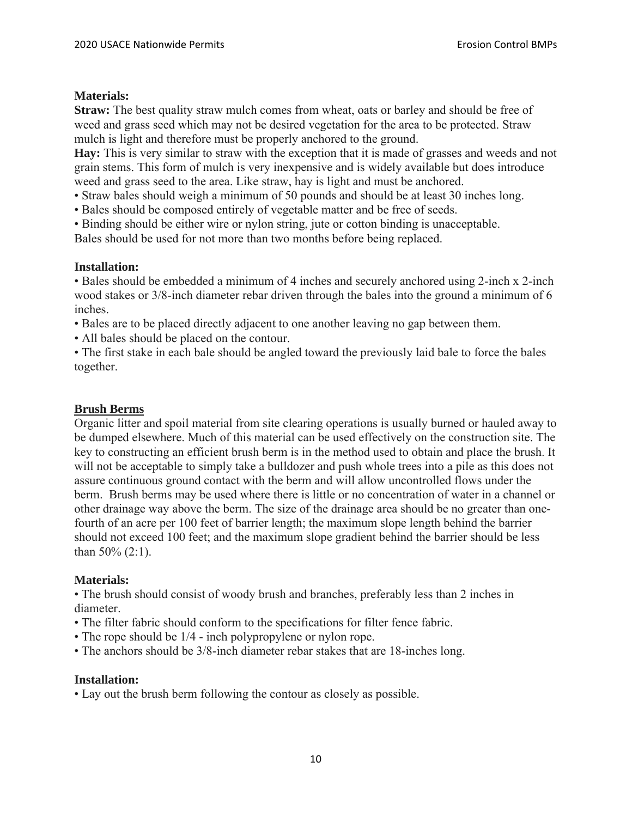## **Materials:**

**Straw:** The best quality straw mulch comes from wheat, oats or barley and should be free of weed and grass seed which may not be desired vegetation for the area to be protected. Straw mulch is light and therefore must be properly anchored to the ground.

**Hay:** This is very similar to straw with the exception that it is made of grasses and weeds and not grain stems. This form of mulch is very inexpensive and is widely available but does introduce weed and grass seed to the area. Like straw, hay is light and must be anchored.

- Straw bales should weigh a minimum of 50 pounds and should be at least 30 inches long.
- Bales should be composed entirely of vegetable matter and be free of seeds.
- Binding should be either wire or nylon string, jute or cotton binding is unacceptable.

Bales should be used for not more than two months before being replaced.

# **Installation:**

• Bales should be embedded a minimum of 4 inches and securely anchored using 2-inch x 2-inch wood stakes or 3/8-inch diameter rebar driven through the bales into the ground a minimum of 6 inches.

• Bales are to be placed directly adjacent to one another leaving no gap between them.

• All bales should be placed on the contour.

• The first stake in each bale should be angled toward the previously laid bale to force the bales together.

## **Brush Berms**

Organic litter and spoil material from site clearing operations is usually burned or hauled away to be dumped elsewhere. Much of this material can be used effectively on the construction site. The key to constructing an efficient brush berm is in the method used to obtain and place the brush. It will not be acceptable to simply take a bulldozer and push whole trees into a pile as this does not assure continuous ground contact with the berm and will allow uncontrolled flows under the berm. Brush berms may be used where there is little or no concentration of water in a channel or other drainage way above the berm. The size of the drainage area should be no greater than onefourth of an acre per 100 feet of barrier length; the maximum slope length behind the barrier should not exceed 100 feet; and the maximum slope gradient behind the barrier should be less than 50% (2:1).

#### **Materials:**

• The brush should consist of woody brush and branches, preferably less than 2 inches in diameter.

- The filter fabric should conform to the specifications for filter fence fabric.
- The rope should be 1/4 inch polypropylene or nylon rope.
- The anchors should be 3/8-inch diameter rebar stakes that are 18-inches long.

#### **Installation:**

• Lay out the brush berm following the contour as closely as possible.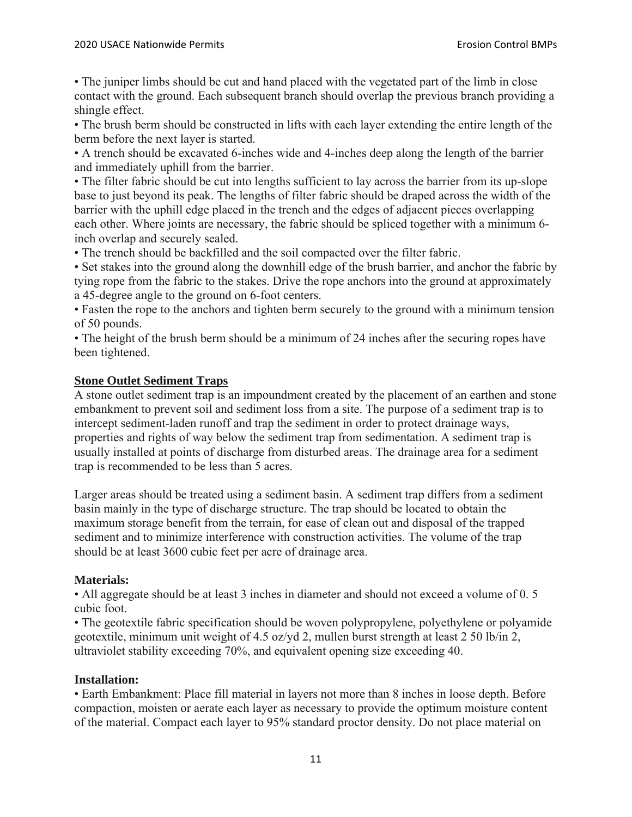• The juniper limbs should be cut and hand placed with the vegetated part of the limb in close contact with the ground. Each subsequent branch should overlap the previous branch providing a shingle effect.

• The brush berm should be constructed in lifts with each layer extending the entire length of the berm before the next layer is started.

• A trench should be excavated 6-inches wide and 4-inches deep along the length of the barrier and immediately uphill from the barrier.

• The filter fabric should be cut into lengths sufficient to lay across the barrier from its up-slope base to just beyond its peak. The lengths of filter fabric should be draped across the width of the barrier with the uphill edge placed in the trench and the edges of adjacent pieces overlapping each other. Where joints are necessary, the fabric should be spliced together with a minimum 6 inch overlap and securely sealed.

• The trench should be backfilled and the soil compacted over the filter fabric.

• Set stakes into the ground along the downhill edge of the brush barrier, and anchor the fabric by tying rope from the fabric to the stakes. Drive the rope anchors into the ground at approximately a 45-degree angle to the ground on 6-foot centers.

• Fasten the rope to the anchors and tighten berm securely to the ground with a minimum tension of 50 pounds.

• The height of the brush berm should be a minimum of 24 inches after the securing ropes have been tightened.

## **Stone Outlet Sediment Traps**

A stone outlet sediment trap is an impoundment created by the placement of an earthen and stone embankment to prevent soil and sediment loss from a site. The purpose of a sediment trap is to intercept sediment-laden runoff and trap the sediment in order to protect drainage ways, properties and rights of way below the sediment trap from sedimentation. A sediment trap is usually installed at points of discharge from disturbed areas. The drainage area for a sediment trap is recommended to be less than 5 acres.

Larger areas should be treated using a sediment basin. A sediment trap differs from a sediment basin mainly in the type of discharge structure. The trap should be located to obtain the maximum storage benefit from the terrain, for ease of clean out and disposal of the trapped sediment and to minimize interference with construction activities. The volume of the trap should be at least 3600 cubic feet per acre of drainage area.

#### **Materials:**

• All aggregate should be at least 3 inches in diameter and should not exceed a volume of 0.5 cubic foot.

• The geotextile fabric specification should be woven polypropylene, polyethylene or polyamide geotextile, minimum unit weight of 4.5 oz/yd 2, mullen burst strength at least 2 50 lb/in 2, ultraviolet stability exceeding 70%, and equivalent opening size exceeding 40.

#### **Installation:**

• Earth Embankment: Place fill material in layers not more than 8 inches in loose depth. Before compaction, moisten or aerate each layer as necessary to provide the optimum moisture content of the material. Compact each layer to 95% standard proctor density. Do not place material on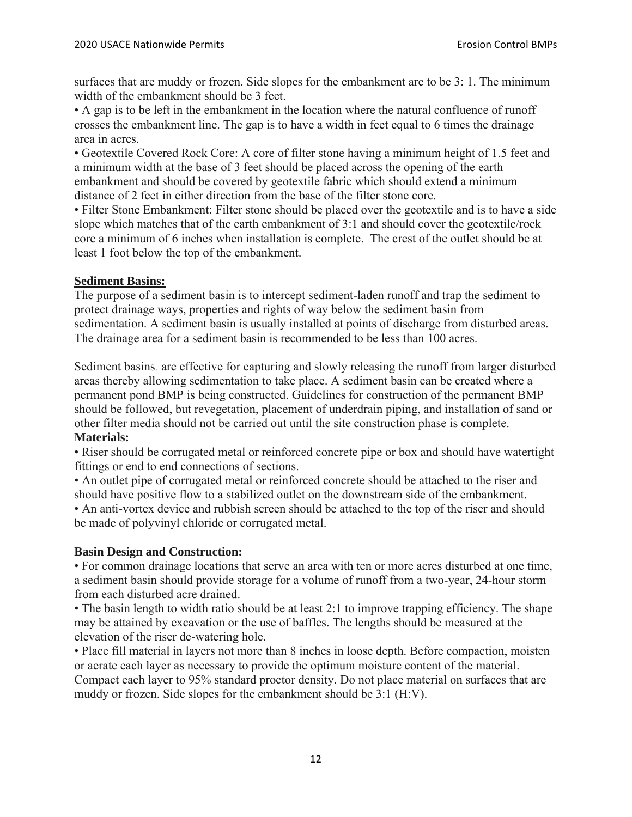surfaces that are muddy or frozen. Side slopes for the embankment are to be 3: 1. The minimum width of the embankment should be 3 feet.

• A gap is to be left in the embankment in the location where the natural confluence of runoff crosses the embankment line. The gap is to have a width in feet equal to 6 times the drainage area in acres.

• Geotextile Covered Rock Core: A core of filter stone having a minimum height of 1.5 feet and a minimum width at the base of 3 feet should be placed across the opening of the earth embankment and should be covered by geotextile fabric which should extend a minimum distance of 2 feet in either direction from the base of the filter stone core.

• Filter Stone Embankment: Filter stone should be placed over the geotextile and is to have a side slope which matches that of the earth embankment of 3:1 and should cover the geotextile/rock core a minimum of 6 inches when installation is complete. The crest of the outlet should be at least 1 foot below the top of the embankment.

## **Sediment Basins:**

The purpose of a sediment basin is to intercept sediment-laden runoff and trap the sediment to protect drainage ways, properties and rights of way below the sediment basin from sedimentation. A sediment basin is usually installed at points of discharge from disturbed areas. The drainage area for a sediment basin is recommended to be less than 100 acres.

Sediment basins. are effective for capturing and slowly releasing the runoff from larger disturbed areas thereby allowing sedimentation to take place. A sediment basin can be created where a permanent pond BMP is being constructed. Guidelines for construction of the permanent BMP should be followed, but revegetation, placement of underdrain piping, and installation of sand or other filter media should not be carried out until the site construction phase is complete. **Materials:** 

• Riser should be corrugated metal or reinforced concrete pipe or box and should have watertight fittings or end to end connections of sections.

• An outlet pipe of corrugated metal or reinforced concrete should be attached to the riser and should have positive flow to a stabilized outlet on the downstream side of the embankment.

• An anti-vortex device and rubbish screen should be attached to the top of the riser and should be made of polyvinyl chloride or corrugated metal.

# **Basin Design and Construction:**

• For common drainage locations that serve an area with ten or more acres disturbed at one time, a sediment basin should provide storage for a volume of runoff from a two-year, 24-hour storm from each disturbed acre drained.

• The basin length to width ratio should be at least 2:1 to improve trapping efficiency. The shape may be attained by excavation or the use of baffles. The lengths should be measured at the elevation of the riser de-watering hole.

• Place fill material in layers not more than 8 inches in loose depth. Before compaction, moisten or aerate each layer as necessary to provide the optimum moisture content of the material. Compact each layer to 95% standard proctor density. Do not place material on surfaces that are muddy or frozen. Side slopes for the embankment should be 3:1 (H:V).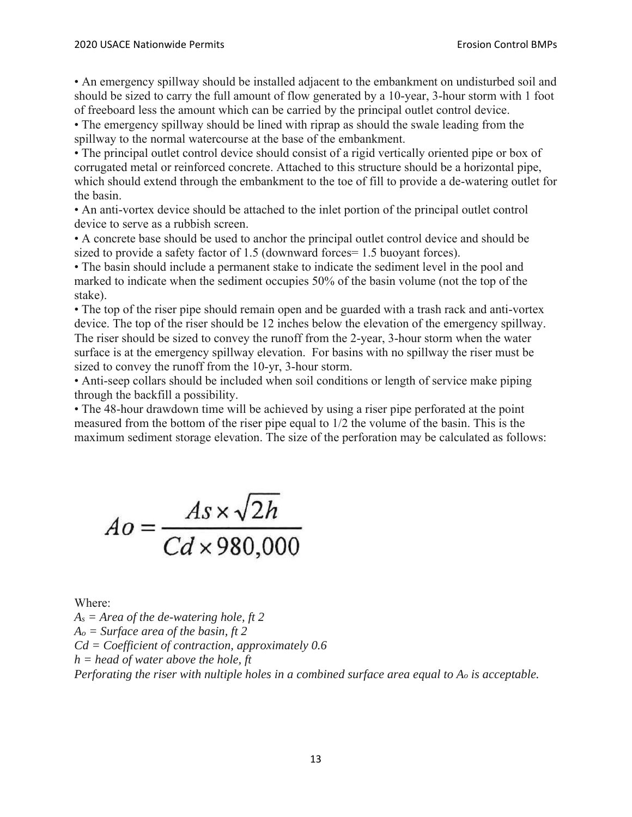• An emergency spillway should be installed adjacent to the embankment on undisturbed soil and should be sized to carry the full amount of flow generated by a 10-year, 3-hour storm with 1 foot of freeboard less the amount which can be carried by the principal outlet control device.

• The emergency spillway should be lined with riprap as should the swale leading from the spillway to the normal watercourse at the base of the embankment.

• The principal outlet control device should consist of a rigid vertically oriented pipe or box of corrugated metal or reinforced concrete. Attached to this structure should be a horizontal pipe, which should extend through the embankment to the toe of fill to provide a de-watering outlet for the basin.

• An anti-vortex device should be attached to the inlet portion of the principal outlet control device to serve as a rubbish screen.

• A concrete base should be used to anchor the principal outlet control device and should be sized to provide a safety factor of 1.5 (downward forces= 1.5 buoyant forces).

• The basin should include a permanent stake to indicate the sediment level in the pool and marked to indicate when the sediment occupies 50% of the basin volume (not the top of the stake).

• The top of the riser pipe should remain open and be guarded with a trash rack and anti-vortex device. The top of the riser should be 12 inches below the elevation of the emergency spillway. The riser should be sized to convey the runoff from the 2-year, 3-hour storm when the water surface is at the emergency spillway elevation. For basins with no spillway the riser must be sized to convey the runoff from the 10-yr, 3-hour storm.

• Anti-seep collars should be included when soil conditions or length of service make piping through the backfill a possibility.

• The 48-hour drawdown time will be achieved by using a riser pipe perforated at the point measured from the bottom of the riser pipe equal to 1/2 the volume of the basin. This is the maximum sediment storage elevation. The size of the perforation may be calculated as follows:

 $Ao = \frac{As \times \sqrt{2h}}{Cd \times 980,000}$ 

Where:

*As = Area of the de-watering hole, ft 2 Ao = Surface area of the basin, ft 2 Cd = Coefficient of contraction, approximately 0.6 h = head of water above the hole, ft Perforating the riser with nultiple holes in a combined surface area equal to Ao is acceptable.*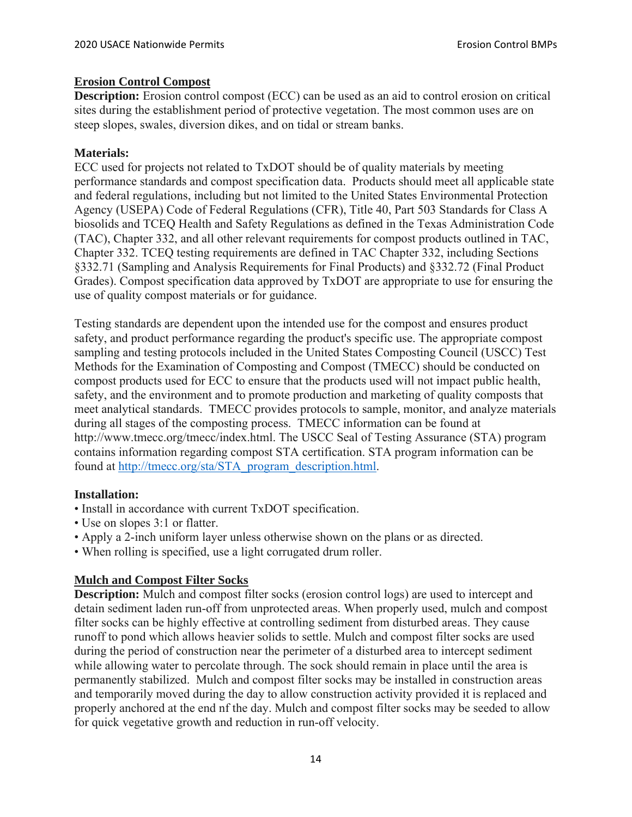## **Erosion Control Compost**

**Description:** Erosion control compost (ECC) can be used as an aid to control erosion on critical sites during the establishment period of protective vegetation. The most common uses are on steep slopes, swales, diversion dikes, and on tidal or stream banks.

# **Materials:**

ECC used for projects not related to TxDOT should be of quality materials by meeting performance standards and compost specification data. Products should meet all applicable state and federal regulations, including but not limited to the United States Environmental Protection Agency (USEPA) Code of Federal Regulations (CFR), Title 40, Part 503 Standards for Class A biosolids and TCEQ Health and Safety Regulations as defined in the Texas Administration Code (TAC), Chapter 332, and all other relevant requirements for compost products outlined in TAC, Chapter 332. TCEQ testing requirements are defined in TAC Chapter 332, including Sections §332.71 (Sampling and Analysis Requirements for Final Products) and §332.72 (Final Product Grades). Compost specification data approved by TxDOT are appropriate to use for ensuring the use of quality compost materials or for guidance.

Testing standards are dependent upon the intended use for the compost and ensures product safety, and product performance regarding the product's specific use. The appropriate compost sampling and testing protocols included in the United States Composting Council (USCC) Test Methods for the Examination of Composting and Compost (TMECC) should be conducted on compost products used for ECC to ensure that the products used will not impact public health, safety, and the environment and to promote production and marketing of quality composts that meet analytical standards. TMECC provides protocols to sample, monitor, and analyze materials during all stages of the composting process. TMECC information can be found at http://www.tmecc.org/tmecc/index.html. The USCC Seal of Testing Assurance (STA) program contains information regarding compost STA certification. STA program information can be found at http://tmecc.org/sta/STA\_program\_description.html.

# **Installation:**

- Install in accordance with current TxDOT specification.
- Use on slopes 3:1 or flatter.
- Apply a 2-inch uniform layer unless otherwise shown on the plans or as directed.
- When rolling is specified, use a light corrugated drum roller.

# **Mulch and Compost Filter Socks**

**Description:** Mulch and compost filter socks (erosion control logs) are used to intercept and detain sediment laden run-off from unprotected areas. When properly used, mulch and compost filter socks can be highly effective at controlling sediment from disturbed areas. They cause runoff to pond which allows heavier solids to settle. Mulch and compost filter socks are used during the period of construction near the perimeter of a disturbed area to intercept sediment while allowing water to percolate through. The sock should remain in place until the area is permanently stabilized. Mulch and compost filter socks may be installed in construction areas and temporarily moved during the day to allow construction activity provided it is replaced and properly anchored at the end nf the day. Mulch and compost filter socks may be seeded to allow for quick vegetative growth and reduction in run-off velocity.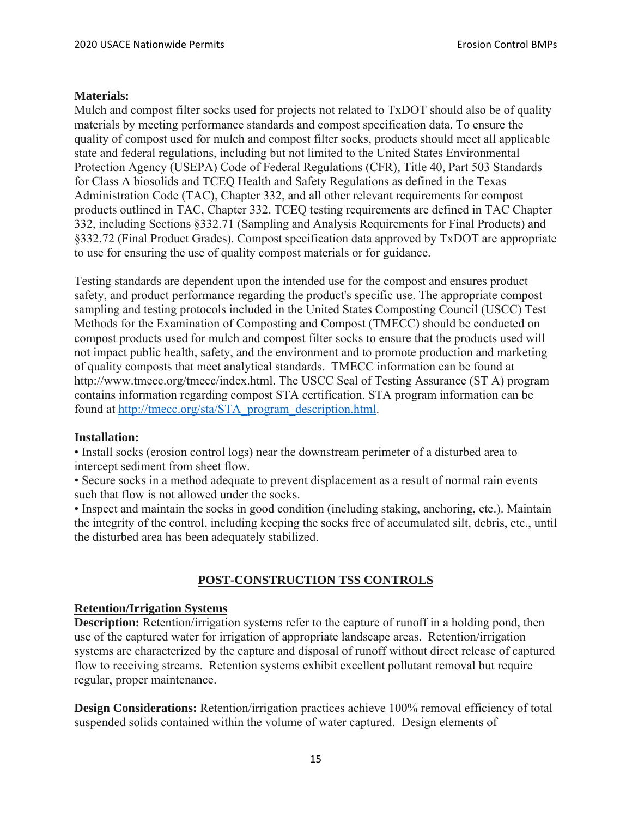#### **Materials:**

Mulch and compost filter socks used for projects not related to TxDOT should also be of quality materials by meeting performance standards and compost specification data. To ensure the quality of compost used for mulch and compost filter socks, products should meet all applicable state and federal regulations, including but not limited to the United States Environmental Protection Agency (USEPA) Code of Federal Regulations (CFR), Title 40, Part 503 Standards for Class A biosolids and TCEQ Health and Safety Regulations as defined in the Texas Administration Code (TAC), Chapter 332, and all other relevant requirements for compost products outlined in TAC, Chapter 332. TCEQ testing requirements are defined in TAC Chapter 332, including Sections §332.71 (Sampling and Analysis Requirements for Final Products) and §332.72 (Final Product Grades). Compost specification data approved by TxDOT are appropriate to use for ensuring the use of quality compost materials or for guidance.

Testing standards are dependent upon the intended use for the compost and ensures product safety, and product performance regarding the product's specific use. The appropriate compost sampling and testing protocols included in the United States Composting Council (USCC) Test Methods for the Examination of Composting and Compost (TMECC) should be conducted on compost products used for mulch and compost filter socks to ensure that the products used will not impact public health, safety, and the environment and to promote production and marketing of quality composts that meet analytical standards. TMECC information can be found at http://www.tmecc.org/tmecc/index.html. The USCC Seal of Testing Assurance (ST A) program contains information regarding compost STA certification. STA program information can be found at http://tmecc.org/sta/STA\_program\_description.html.

#### **Installation:**

• Install socks (erosion control logs) near the downstream perimeter of a disturbed area to intercept sediment from sheet flow.

• Secure socks in a method adequate to prevent displacement as a result of normal rain events such that flow is not allowed under the socks.

• Inspect and maintain the socks in good condition (including staking, anchoring, etc.). Maintain the integrity of the control, including keeping the socks free of accumulated silt, debris, etc., until the disturbed area has been adequately stabilized.

# **POST-CONSTRUCTION TSS CONTROLS**

#### **Retention/Irrigation Systems**

**Description:** Retention/irrigation systems refer to the capture of runoff in a holding pond, then use of the captured water for irrigation of appropriate landscape areas. Retention/irrigation systems are characterized by the capture and disposal of runoff without direct release of captured flow to receiving streams. Retention systems exhibit excellent pollutant removal but require regular, proper maintenance.

**Design Considerations:** Retention/irrigation practices achieve 100% removal efficiency of total suspended solids contained within the volume of water captured. Design elements of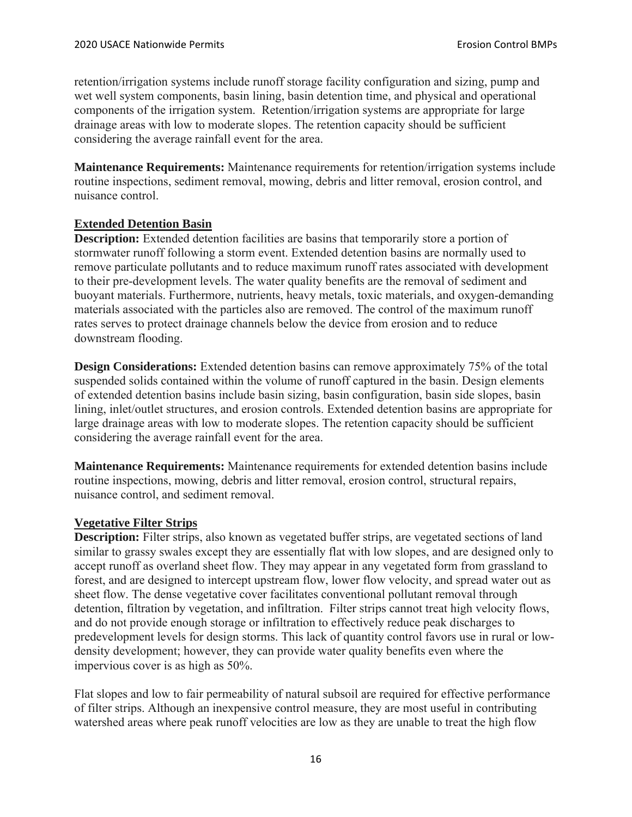retention/irrigation systems include runoff storage facility configuration and sizing, pump and wet well system components, basin lining, basin detention time, and physical and operational components of the irrigation system. Retention/irrigation systems are appropriate for large drainage areas with low to moderate slopes. The retention capacity should be sufficient considering the average rainfall event for the area.

**Maintenance Requirements:** Maintenance requirements for retention/irrigation systems include routine inspections, sediment removal, mowing, debris and litter removal, erosion control, and nuisance control.

## **Extended Detention Basin**

**Description:** Extended detention facilities are basins that temporarily store a portion of stormwater runoff following a storm event. Extended detention basins are normally used to remove particulate pollutants and to reduce maximum runoff rates associated with development to their pre-development levels. The water quality benefits are the removal of sediment and buoyant materials. Furthermore, nutrients, heavy metals, toxic materials, and oxygen-demanding materials associated with the particles also are removed. The control of the maximum runoff rates serves to protect drainage channels below the device from erosion and to reduce downstream flooding.

**Design Considerations:** Extended detention basins can remove approximately 75% of the total suspended solids contained within the volume of runoff captured in the basin. Design elements of extended detention basins include basin sizing, basin configuration, basin side slopes, basin lining, inlet/outlet structures, and erosion controls. Extended detention basins are appropriate for large drainage areas with low to moderate slopes. The retention capacity should be sufficient considering the average rainfall event for the area.

**Maintenance Requirements:** Maintenance requirements for extended detention basins include routine inspections, mowing, debris and litter removal, erosion control, structural repairs, nuisance control, and sediment removal.

# **Vegetative Filter Strips**

**Description:** Filter strips, also known as vegetated buffer strips, are vegetated sections of land similar to grassy swales except they are essentially flat with low slopes, and are designed only to accept runoff as overland sheet flow. They may appear in any vegetated form from grassland to forest, and are designed to intercept upstream flow, lower flow velocity, and spread water out as sheet flow. The dense vegetative cover facilitates conventional pollutant removal through detention, filtration by vegetation, and infiltration. Filter strips cannot treat high velocity flows, and do not provide enough storage or infiltration to effectively reduce peak discharges to predevelopment levels for design storms. This lack of quantity control favors use in rural or lowdensity development; however, they can provide water quality benefits even where the impervious cover is as high as 50%.

Flat slopes and low to fair permeability of natural subsoil are required for effective performance of filter strips. Although an inexpensive control measure, they are most useful in contributing watershed areas where peak runoff velocities are low as they are unable to treat the high flow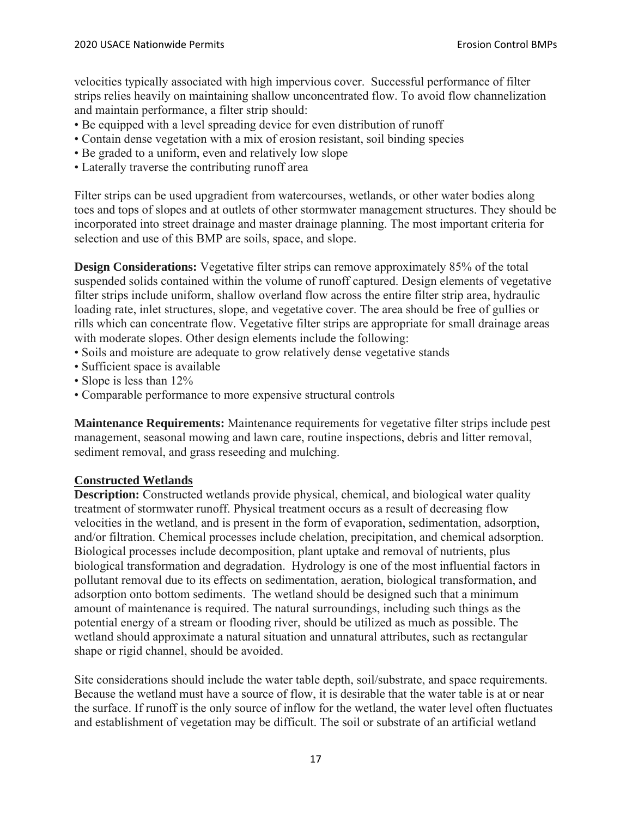velocities typically associated with high impervious cover. Successful performance of filter strips relies heavily on maintaining shallow unconcentrated flow. To avoid flow channelization and maintain performance, a filter strip should:

- Be equipped with a level spreading device for even distribution of runoff
- Contain dense vegetation with a mix of erosion resistant, soil binding species
- Be graded to a uniform, even and relatively low slope
- Laterally traverse the contributing runoff area

Filter strips can be used upgradient from watercourses, wetlands, or other water bodies along toes and tops of slopes and at outlets of other stormwater management structures. They should be incorporated into street drainage and master drainage planning. The most important criteria for selection and use of this BMP are soils, space, and slope.

**Design Considerations:** Vegetative filter strips can remove approximately 85% of the total suspended solids contained within the volume of runoff captured. Design elements of vegetative filter strips include uniform, shallow overland flow across the entire filter strip area, hydraulic loading rate, inlet structures, slope, and vegetative cover. The area should be free of gullies or rills which can concentrate flow. Vegetative filter strips are appropriate for small drainage areas with moderate slopes. Other design elements include the following:

- Soils and moisture are adequate to grow relatively dense vegetative stands
- Sufficient space is available
- Slope is less than 12%
- Comparable performance to more expensive structural controls

**Maintenance Requirements:** Maintenance requirements for vegetative filter strips include pest management, seasonal mowing and lawn care, routine inspections, debris and litter removal, sediment removal, and grass reseeding and mulching.

#### **Constructed Wetlands**

**Description:** Constructed wetlands provide physical, chemical, and biological water quality treatment of stormwater runoff. Physical treatment occurs as a result of decreasing flow velocities in the wetland, and is present in the form of evaporation, sedimentation, adsorption, and/or filtration. Chemical processes include chelation, precipitation, and chemical adsorption. Biological processes include decomposition, plant uptake and removal of nutrients, plus biological transformation and degradation. Hydrology is one of the most influential factors in pollutant removal due to its effects on sedimentation, aeration, biological transformation, and adsorption onto bottom sediments. The wetland should be designed such that a minimum amount of maintenance is required. The natural surroundings, including such things as the potential energy of a stream or flooding river, should be utilized as much as possible. The wetland should approximate a natural situation and unnatural attributes, such as rectangular shape or rigid channel, should be avoided.

Site considerations should include the water table depth, soil/substrate, and space requirements. Because the wetland must have a source of flow, it is desirable that the water table is at or near the surface. If runoff is the only source of inflow for the wetland, the water level often fluctuates and establishment of vegetation may be difficult. The soil or substrate of an artificial wetland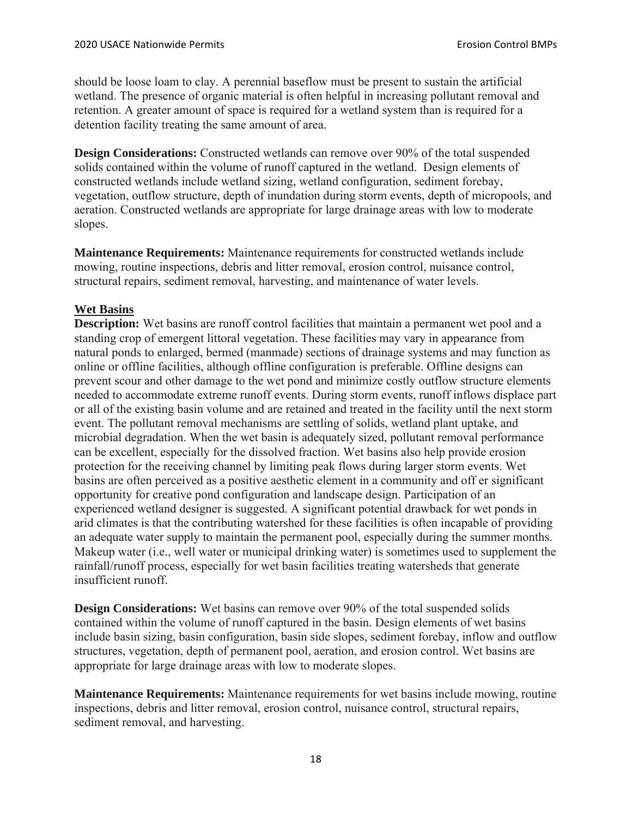should be loose loam to clay. A perennial baseflow must be present to sustain the artificial wetland. The presence of organic material is often helpful in increasing pollutant removal and retention. A greater amount of space is required for a wetland system than is required for a detention facility treating the same amount of area.

**Design Considerations:** Constructed wetlands can remove over 90% of the total suspended solids contained within the volume of runoff captured in the wetland. Design elements of constructed wetlands include wetland sizing, wetland configuration, sediment forebay, vegetation, outflow structure, depth of inundation during storm events, depth of micropools, and aeration. Constructed wetlands are appropriate for large drainage areas with low to moderate slopes.

**Maintenance Requirements:** Maintenance requirements for constructed wetlands include mowing, routine inspections, debris and litter removal, erosion control, nuisance control, structural repairs, sediment removal, harvesting, and maintenance of water levels.

# **Wet Basins**

**Description:** Wet basins are runoff control facilities that maintain a permanent wet pool and a standing crop of emergent littoral vegetation. These facilities may vary in appearance from natural ponds to enlarged, bermed (manmade) sections of drainage systems and may function as online or offline facilities, although offline configuration is preferable. Offline designs can prevent scour and other damage to the wet pond and minimize costly outflow structure elements needed to accommodate extreme runoff events. During storm events, runoff inflows displace part or all of the existing basin volume and are retained and treated in the facility until the next storm event. The pollutant removal mechanisms are settling of solids, wetland plant uptake, and microbial degradation. When the wet basin is adequately sized, pollutant removal performance can be excellent, especially for the dissolved fraction. Wet basins also help provide erosion protection for the receiving channel by limiting peak flows during larger storm events. Wet basins are often perceived as a positive aesthetic element in a community and off er significant opportunity for creative pond configuration and landscape design. Participation of an experienced wetland designer is suggested. A significant potential drawback for wet ponds in arid climates is that the contributing watershed for these facilities is often incapable of providing an adequate water supply to maintain the permanent pool, especially during the summer months. Makeup water (i.e., well water or municipal drinking water) is sometimes used to supplement the rainfall/runoff process, especially for wet basin facilities treating watersheds that generate insufficient runoff.

**Design Considerations:** Wet basins can remove over 90% of the total suspended solids contained within the volume of runoff captured in the basin. Design elements of wet basins include basin sizing, basin configuration, basin side slopes, sediment forebay, inflow and outflow structures, vegetation, depth of permanent pool, aeration, and erosion control. Wet basins are appropriate for large drainage areas with low to moderate slopes.

**Maintenance Requirements:** Maintenance requirements for wet basins include mowing, routine inspections, debris and litter removal, erosion control, nuisance control, structural repairs, sediment removal, and harvesting.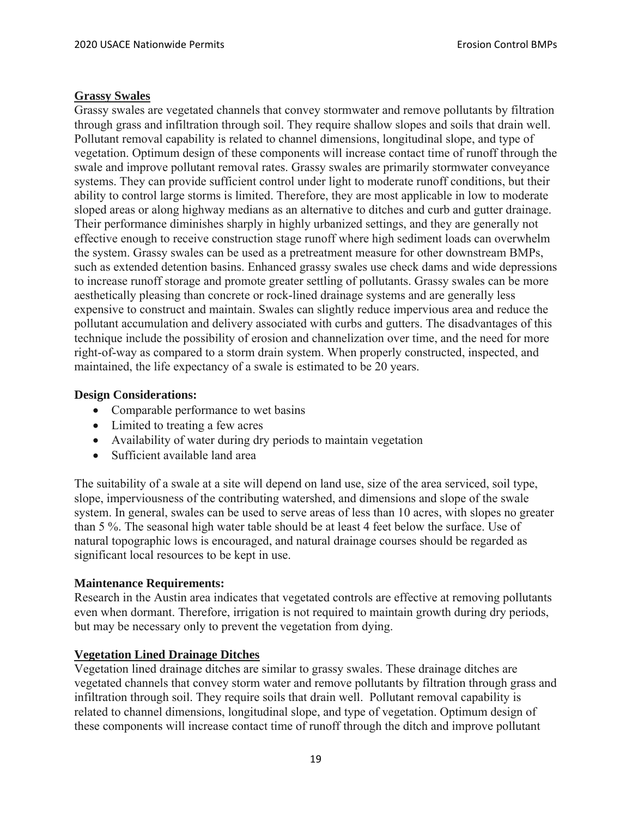#### **Grassy Swales**

Grassy swales are vegetated channels that convey stormwater and remove pollutants by filtration through grass and infiltration through soil. They require shallow slopes and soils that drain well. Pollutant removal capability is related to channel dimensions, longitudinal slope, and type of vegetation. Optimum design of these components will increase contact time of runoff through the swale and improve pollutant removal rates. Grassy swales are primarily stormwater conveyance systems. They can provide sufficient control under light to moderate runoff conditions, but their ability to control large storms is limited. Therefore, they are most applicable in low to moderate sloped areas or along highway medians as an alternative to ditches and curb and gutter drainage. Their performance diminishes sharply in highly urbanized settings, and they are generally not effective enough to receive construction stage runoff where high sediment loads can overwhelm the system. Grassy swales can be used as a pretreatment measure for other downstream BMPs, such as extended detention basins. Enhanced grassy swales use check dams and wide depressions to increase runoff storage and promote greater settling of pollutants. Grassy swales can be more aesthetically pleasing than concrete or rock-lined drainage systems and are generally less expensive to construct and maintain. Swales can slightly reduce impervious area and reduce the pollutant accumulation and delivery associated with curbs and gutters. The disadvantages of this technique include the possibility of erosion and channelization over time, and the need for more right-of-way as compared to a storm drain system. When properly constructed, inspected, and maintained, the life expectancy of a swale is estimated to be 20 years.

#### **Design Considerations:**

- Comparable performance to wet basins
- Limited to treating a few acres
- Availability of water during dry periods to maintain vegetation
- Sufficient available land area

The suitability of a swale at a site will depend on land use, size of the area serviced, soil type, slope, imperviousness of the contributing watershed, and dimensions and slope of the swale system. In general, swales can be used to serve areas of less than 10 acres, with slopes no greater than 5 %. The seasonal high water table should be at least 4 feet below the surface. Use of natural topographic lows is encouraged, and natural drainage courses should be regarded as significant local resources to be kept in use.

#### **Maintenance Requirements:**

Research in the Austin area indicates that vegetated controls are effective at removing pollutants even when dormant. Therefore, irrigation is not required to maintain growth during dry periods, but may be necessary only to prevent the vegetation from dying.

#### **Vegetation Lined Drainage Ditches**

Vegetation lined drainage ditches are similar to grassy swales. These drainage ditches are vegetated channels that convey storm water and remove pollutants by filtration through grass and infiltration through soil. They require soils that drain well. Pollutant removal capability is related to channel dimensions, longitudinal slope, and type of vegetation. Optimum design of these components will increase contact time of runoff through the ditch and improve pollutant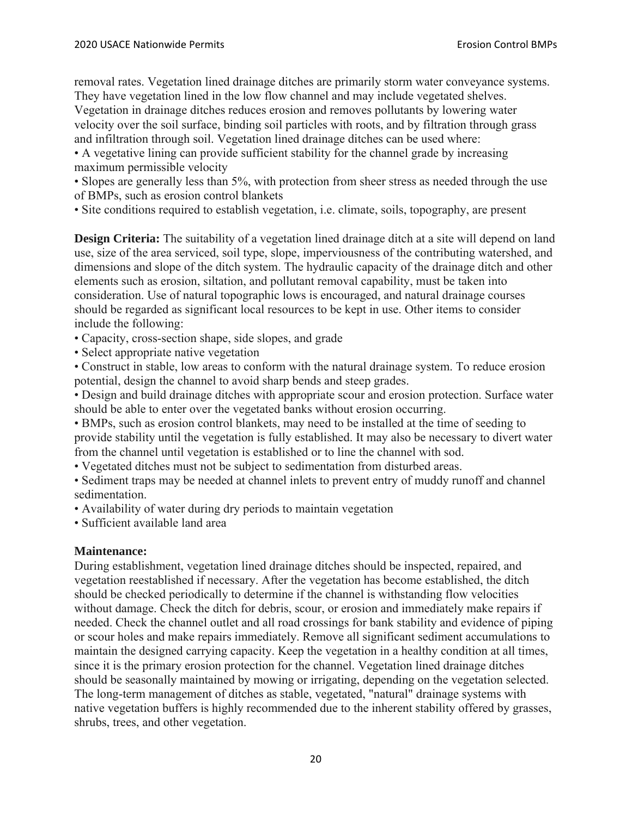removal rates. Vegetation lined drainage ditches are primarily storm water conveyance systems. They have vegetation lined in the low flow channel and may include vegetated shelves.

Vegetation in drainage ditches reduces erosion and removes pollutants by lowering water velocity over the soil surface, binding soil particles with roots, and by filtration through grass and infiltration through soil. Vegetation lined drainage ditches can be used where:

• A vegetative lining can provide sufficient stability for the channel grade by increasing maximum permissible velocity

• Slopes are generally less than 5%, with protection from sheer stress as needed through the use of BMPs, such as erosion control blankets

• Site conditions required to establish vegetation, i.e. climate, soils, topography, are present

**Design Criteria:** The suitability of a vegetation lined drainage ditch at a site will depend on land use, size of the area serviced, soil type, slope, imperviousness of the contributing watershed, and dimensions and slope of the ditch system. The hydraulic capacity of the drainage ditch and other elements such as erosion, siltation, and pollutant removal capability, must be taken into consideration. Use of natural topographic lows is encouraged, and natural drainage courses should be regarded as significant local resources to be kept in use. Other items to consider include the following:

- Capacity, cross-section shape, side slopes, and grade
- Select appropriate native vegetation

• Construct in stable, low areas to conform with the natural drainage system. To reduce erosion potential, design the channel to avoid sharp bends and steep grades.

• Design and build drainage ditches with appropriate scour and erosion protection. Surface water should be able to enter over the vegetated banks without erosion occurring.

• BMPs, such as erosion control blankets, may need to be installed at the time of seeding to provide stability until the vegetation is fully established. It may also be necessary to divert water from the channel until vegetation is established or to line the channel with sod.

• Vegetated ditches must not be subject to sedimentation from disturbed areas.

• Sediment traps may be needed at channel inlets to prevent entry of muddy runoff and channel sedimentation.

• Availability of water during dry periods to maintain vegetation

• Sufficient available land area

# **Maintenance:**

During establishment, vegetation lined drainage ditches should be inspected, repaired, and vegetation reestablished if necessary. After the vegetation has become established, the ditch should be checked periodically to determine if the channel is withstanding flow velocities without damage. Check the ditch for debris, scour, or erosion and immediately make repairs if needed. Check the channel outlet and all road crossings for bank stability and evidence of piping or scour holes and make repairs immediately. Remove all significant sediment accumulations to maintain the designed carrying capacity. Keep the vegetation in a healthy condition at all times, since it is the primary erosion protection for the channel. Vegetation lined drainage ditches should be seasonally maintained by mowing or irrigating, depending on the vegetation selected. The long-term management of ditches as stable, vegetated, "natural" drainage systems with native vegetation buffers is highly recommended due to the inherent stability offered by grasses, shrubs, trees, and other vegetation.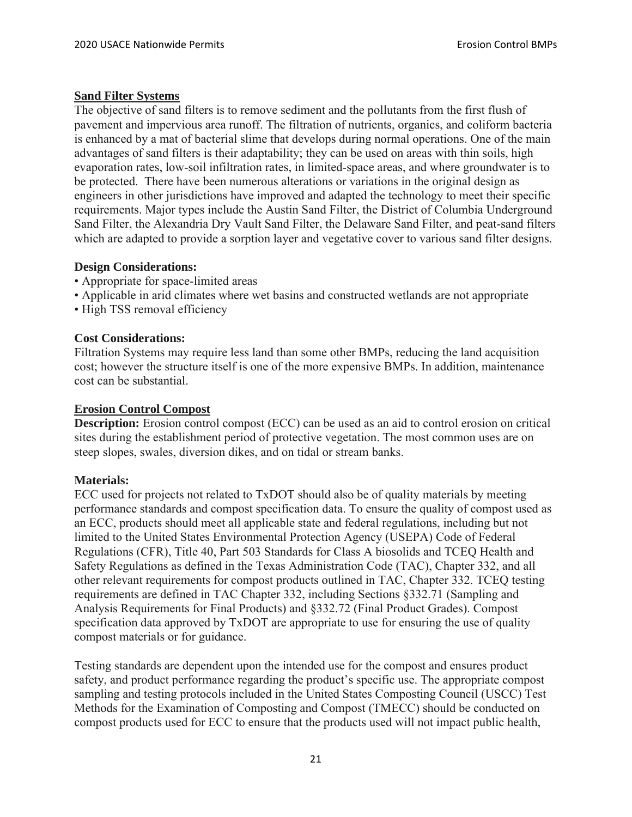## **Sand Filter Systems**

The objective of sand filters is to remove sediment and the pollutants from the first flush of pavement and impervious area runoff. The filtration of nutrients, organics, and coliform bacteria is enhanced by a mat of bacterial slime that develops during normal operations. One of the main advantages of sand filters is their adaptability; they can be used on areas with thin soils, high evaporation rates, low-soil infiltration rates, in limited-space areas, and where groundwater is to be protected. There have been numerous alterations or variations in the original design as engineers in other jurisdictions have improved and adapted the technology to meet their specific requirements. Major types include the Austin Sand Filter, the District of Columbia Underground Sand Filter, the Alexandria Dry Vault Sand Filter, the Delaware Sand Filter, and peat-sand filters which are adapted to provide a sorption layer and vegetative cover to various sand filter designs.

## **Design Considerations:**

- Appropriate for space-limited areas
- Applicable in arid climates where wet basins and constructed wetlands are not appropriate
- High TSS removal efficiency

## **Cost Considerations:**

Filtration Systems may require less land than some other BMPs, reducing the land acquisition cost; however the structure itself is one of the more expensive BMPs. In addition, maintenance cost can be substantial.

#### **Erosion Control Compost**

**Description:** Erosion control compost (ECC) can be used as an aid to control erosion on critical sites during the establishment period of protective vegetation. The most common uses are on steep slopes, swales, diversion dikes, and on tidal or stream banks.

#### **Materials:**

ECC used for projects not related to TxDOT should also be of quality materials by meeting performance standards and compost specification data. To ensure the quality of compost used as an ECC, products should meet all applicable state and federal regulations, including but not limited to the United States Environmental Protection Agency (USEPA) Code of Federal Regulations (CFR), Title 40, Part 503 Standards for Class A biosolids and TCEQ Health and Safety Regulations as defined in the Texas Administration Code (TAC), Chapter 332, and all other relevant requirements for compost products outlined in TAC, Chapter 332. TCEQ testing requirements are defined in TAC Chapter 332, including Sections §332.71 (Sampling and Analysis Requirements for Final Products) and §332.72 (Final Product Grades). Compost specification data approved by TxDOT are appropriate to use for ensuring the use of quality compost materials or for guidance.

Testing standards are dependent upon the intended use for the compost and ensures product safety, and product performance regarding the product's specific use. The appropriate compost sampling and testing protocols included in the United States Composting Council (USCC) Test Methods for the Examination of Composting and Compost (TMECC) should be conducted on compost products used for ECC to ensure that the products used will not impact public health,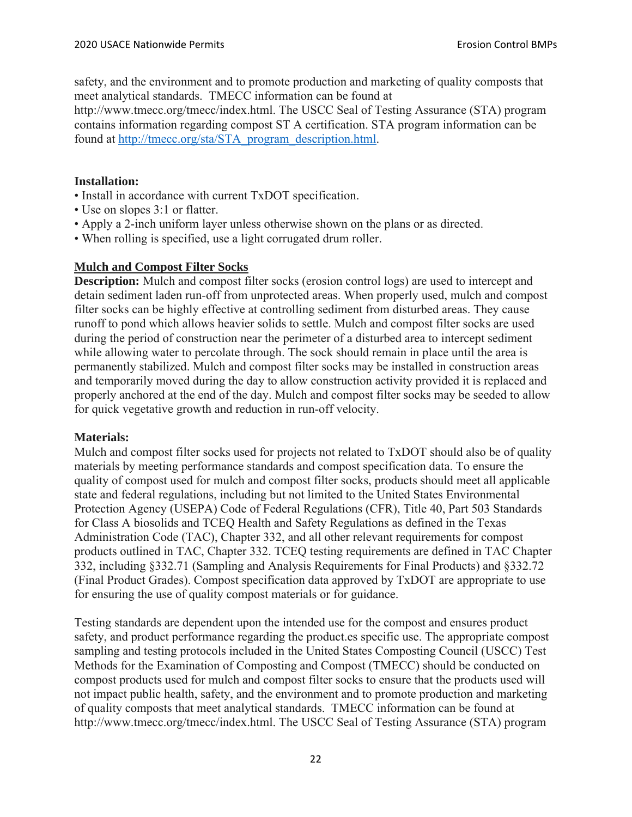safety, and the environment and to promote production and marketing of quality composts that meet analytical standards. TMECC information can be found at

http://www.tmecc.org/tmecc/index.html. The USCC Seal of Testing Assurance (STA) program contains information regarding compost ST A certification. STA program information can be found at http://tmecc.org/sta/STA\_program\_description.html.

# **Installation:**

- Install in accordance with current TxDOT specification.
- Use on slopes 3:1 or flatter.
- Apply a 2-inch uniform layer unless otherwise shown on the plans or as directed.
- When rolling is specified, use a light corrugated drum roller.

# **Mulch and Compost Filter Socks**

**Description:** Mulch and compost filter socks (erosion control logs) are used to intercept and detain sediment laden run-off from unprotected areas. When properly used, mulch and compost filter socks can be highly effective at controlling sediment from disturbed areas. They cause runoff to pond which allows heavier solids to settle. Mulch and compost filter socks are used during the period of construction near the perimeter of a disturbed area to intercept sediment while allowing water to percolate through. The sock should remain in place until the area is permanently stabilized. Mulch and compost filter socks may be installed in construction areas and temporarily moved during the day to allow construction activity provided it is replaced and properly anchored at the end of the day. Mulch and compost filter socks may be seeded to allow for quick vegetative growth and reduction in run-off velocity.

#### **Materials:**

Mulch and compost filter socks used for projects not related to TxDOT should also be of quality materials by meeting performance standards and compost specification data. To ensure the quality of compost used for mulch and compost filter socks, products should meet all applicable state and federal regulations, including but not limited to the United States Environmental Protection Agency (USEPA) Code of Federal Regulations (CFR), Title 40, Part 503 Standards for Class A biosolids and TCEQ Health and Safety Regulations as defined in the Texas Administration Code (TAC), Chapter 332, and all other relevant requirements for compost products outlined in TAC, Chapter 332. TCEQ testing requirements are defined in TAC Chapter 332, including §332.71 (Sampling and Analysis Requirements for Final Products) and §332.72 (Final Product Grades). Compost specification data approved by TxDOT are appropriate to use for ensuring the use of quality compost materials or for guidance.

Testing standards are dependent upon the intended use for the compost and ensures product safety, and product performance regarding the product.es specific use. The appropriate compost sampling and testing protocols included in the United States Composting Council (USCC) Test Methods for the Examination of Composting and Compost (TMECC) should be conducted on compost products used for mulch and compost filter socks to ensure that the products used will not impact public health, safety, and the environment and to promote production and marketing of quality composts that meet analytical standards. TMECC information can be found at http://www.tmecc.org/tmecc/index.html. The USCC Seal of Testing Assurance (STA) program